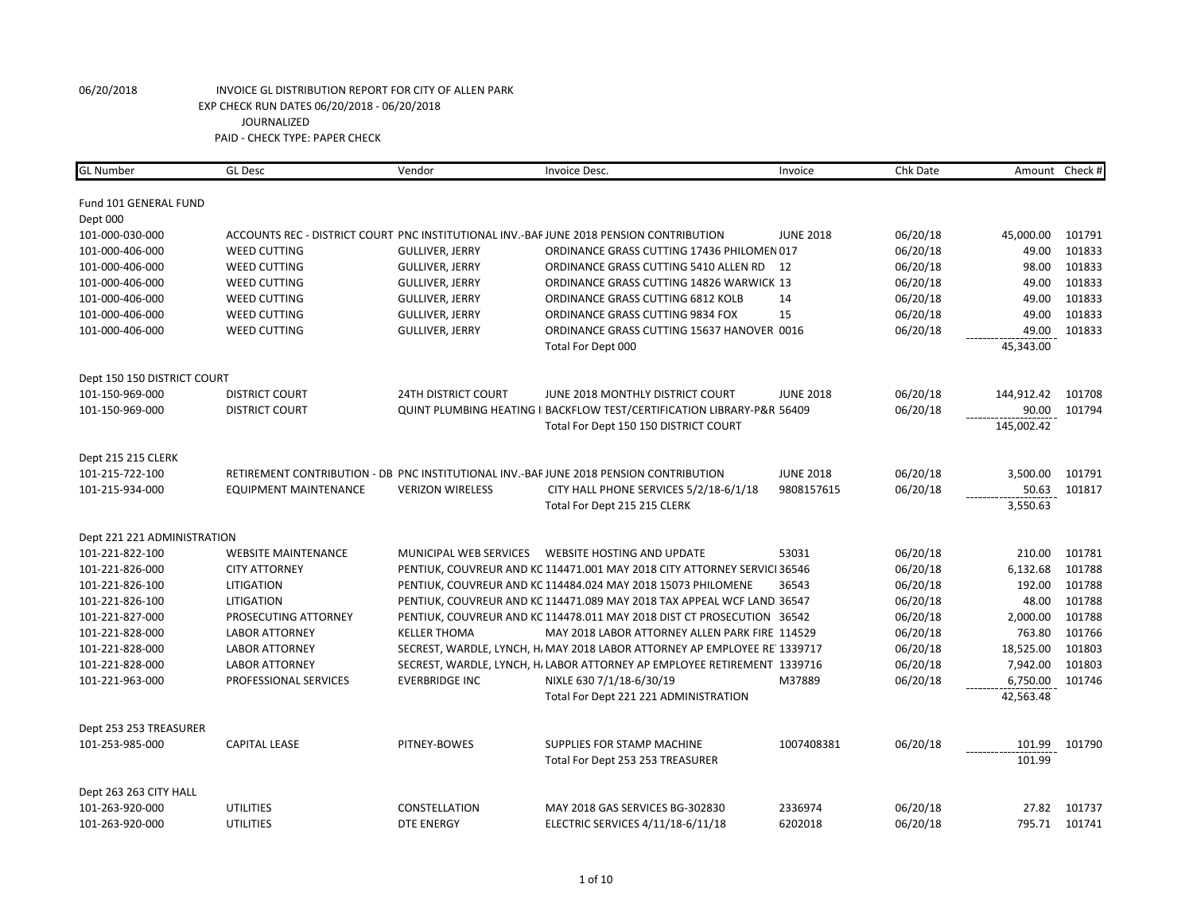| <b>GL Number</b>            | <b>GL</b> Desc               | Vendor                     | Invoice Desc.                                                                           | Invoice          | Chk Date | Amount     | Check # |
|-----------------------------|------------------------------|----------------------------|-----------------------------------------------------------------------------------------|------------------|----------|------------|---------|
|                             |                              |                            |                                                                                         |                  |          |            |         |
| Fund 101 GENERAL FUND       |                              |                            |                                                                                         |                  |          |            |         |
| Dept 000                    |                              |                            |                                                                                         |                  |          |            |         |
| 101-000-030-000             |                              |                            | ACCOUNTS REC - DISTRICT COURT PNC INSTITUTIONAL INV.-BAF JUNE 2018 PENSION CONTRIBUTION | <b>JUNE 2018</b> | 06/20/18 | 45,000.00  | 101791  |
| 101-000-406-000             | <b>WEED CUTTING</b>          | <b>GULLIVER, JERRY</b>     | ORDINANCE GRASS CUTTING 17436 PHILOMEN 017                                              |                  | 06/20/18 | 49.00      | 101833  |
| 101-000-406-000             | <b>WEED CUTTING</b>          | <b>GULLIVER, JERRY</b>     | ORDINANCE GRASS CUTTING 5410 ALLEN RD                                                   | 12               | 06/20/18 | 98.00      | 101833  |
| 101-000-406-000             | <b>WEED CUTTING</b>          | <b>GULLIVER, JERRY</b>     | ORDINANCE GRASS CUTTING 14826 WARWICK 13                                                |                  | 06/20/18 | 49.00      | 101833  |
| 101-000-406-000             | <b>WEED CUTTING</b>          | <b>GULLIVER, JERRY</b>     | ORDINANCE GRASS CUTTING 6812 KOLB                                                       | 14               | 06/20/18 | 49.00      | 101833  |
| 101-000-406-000             | <b>WEED CUTTING</b>          | <b>GULLIVER, JERRY</b>     | ORDINANCE GRASS CUTTING 9834 FOX                                                        | 15               | 06/20/18 | 49.00      | 101833  |
| 101-000-406-000             | <b>WEED CUTTING</b>          | <b>GULLIVER, JERRY</b>     | ORDINANCE GRASS CUTTING 15637 HANOVER 0016                                              |                  | 06/20/18 | 49.00      | 101833  |
|                             |                              |                            | Total For Dept 000                                                                      |                  |          | 45,343.00  |         |
| Dept 150 150 DISTRICT COURT |                              |                            |                                                                                         |                  |          |            |         |
| 101-150-969-000             | <b>DISTRICT COURT</b>        | <b>24TH DISTRICT COURT</b> | JUNE 2018 MONTHLY DISTRICT COURT                                                        | <b>JUNE 2018</b> | 06/20/18 | 144,912.42 | 101708  |
| 101-150-969-000             | <b>DISTRICT COURT</b>        |                            | <b>QUINT PLUMBING HEATING I BACKFLOW TEST/CERTIFICATION LIBRARY-P&amp;R 56409</b>       |                  | 06/20/18 | 90.00      | 101794  |
|                             |                              |                            | Total For Dept 150 150 DISTRICT COURT                                                   |                  |          | 145,002.42 |         |
|                             |                              |                            |                                                                                         |                  |          |            |         |
| Dept 215 215 CLERK          |                              |                            |                                                                                         |                  |          |            |         |
| 101-215-722-100             |                              |                            | RETIREMENT CONTRIBUTION - DB PNC INSTITUTIONAL INV.-BAF JUNE 2018 PENSION CONTRIBUTION  | <b>JUNE 2018</b> | 06/20/18 | 3,500.00   | 101791  |
| 101-215-934-000             | <b>EQUIPMENT MAINTENANCE</b> | <b>VERIZON WIRELESS</b>    | CITY HALL PHONE SERVICES 5/2/18-6/1/18                                                  | 9808157615       | 06/20/18 | 50.63      | 101817  |
|                             |                              |                            | Total For Dept 215 215 CLERK                                                            |                  |          | 3,550.63   |         |
| Dept 221 221 ADMINISTRATION |                              |                            |                                                                                         |                  |          |            |         |
| 101-221-822-100             | <b>WEBSITE MAINTENANCE</b>   | MUNICIPAL WEB SERVICES     | <b>WEBSITE HOSTING AND UPDATE</b>                                                       | 53031            | 06/20/18 | 210.00     | 101781  |
| 101-221-826-000             | <b>CITY ATTORNEY</b>         |                            | PENTIUK, COUVREUR AND KC 114471.001 MAY 2018 CITY ATTORNEY SERVICI 36546                |                  | 06/20/18 | 6,132.68   | 101788  |
| 101-221-826-100             | <b>LITIGATION</b>            |                            | PENTIUK, COUVREUR AND KC 114484.024 MAY 2018 15073 PHILOMENE                            | 36543            | 06/20/18 | 192.00     | 101788  |
| 101-221-826-100             | LITIGATION                   |                            | PENTIUK, COUVREUR AND KC 114471.089 MAY 2018 TAX APPEAL WCF LAND 36547                  |                  | 06/20/18 | 48.00      | 101788  |
| 101-221-827-000             | PROSECUTING ATTORNEY         |                            | PENTIUK, COUVREUR AND KC 114478.011 MAY 2018 DIST CT PROSECUTION 36542                  |                  | 06/20/18 | 2,000.00   | 101788  |
| 101-221-828-000             | <b>LABOR ATTORNEY</b>        | <b>KELLER THOMA</b>        | MAY 2018 LABOR ATTORNEY ALLEN PARK FIRE 114529                                          |                  | 06/20/18 | 763.80     | 101766  |
| 101-221-828-000             | <b>LABOR ATTORNEY</b>        |                            | SECREST, WARDLE, LYNCH, H. MAY 2018 LABOR ATTORNEY AP EMPLOYEE RE 1339717               |                  | 06/20/18 | 18,525.00  | 101803  |
| 101-221-828-000             | <b>LABOR ATTORNEY</b>        |                            | SECREST, WARDLE, LYNCH, H. LABOR ATTORNEY AP EMPLOYEE RETIREMENT 1339716                |                  | 06/20/18 | 7,942.00   | 101803  |
| 101-221-963-000             | PROFESSIONAL SERVICES        | <b>EVERBRIDGE INC</b>      | NIXLE 630 7/1/18-6/30/19                                                                | M37889           | 06/20/18 | 6,750.00   | 101746  |
|                             |                              |                            | Total For Dept 221 221 ADMINISTRATION                                                   |                  |          | 42,563.48  |         |
| Dept 253 253 TREASURER      |                              |                            |                                                                                         |                  |          |            |         |
| 101-253-985-000             | <b>CAPITAL LEASE</b>         | PITNEY-BOWES               | SUPPLIES FOR STAMP MACHINE                                                              | 1007408381       | 06/20/18 | 101.99     | 101790  |
|                             |                              |                            |                                                                                         |                  |          | 101.99     |         |
|                             |                              |                            | Total For Dept 253 253 TREASURER                                                        |                  |          |            |         |
| Dept 263 263 CITY HALL      |                              |                            |                                                                                         |                  |          |            |         |
| 101-263-920-000             | <b>UTILITIES</b>             | CONSTELLATION              | MAY 2018 GAS SERVICES BG-302830                                                         | 2336974          | 06/20/18 | 27.82      | 101737  |
| 101-263-920-000             | <b>UTILITIES</b>             | <b>DTE ENERGY</b>          | ELECTRIC SERVICES 4/11/18-6/11/18                                                       | 6202018          | 06/20/18 | 795.71     | 101741  |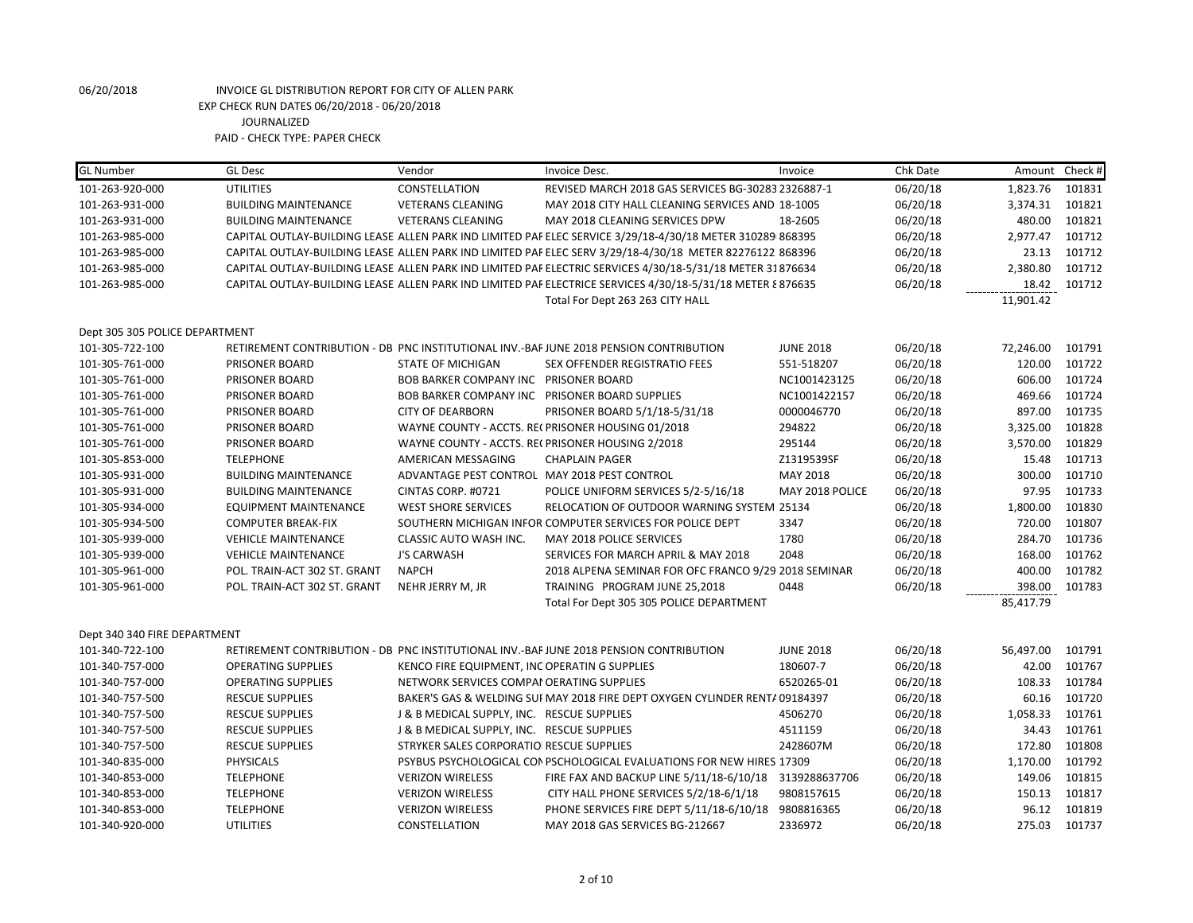| <b>GL Number</b>               | <b>GL Desc</b>               | Vendor                                       | Invoice Desc.                                                                                              | Invoice          | Chk Date | Amount Check # |        |
|--------------------------------|------------------------------|----------------------------------------------|------------------------------------------------------------------------------------------------------------|------------------|----------|----------------|--------|
| 101-263-920-000                | <b>UTILITIES</b>             | CONSTELLATION                                | REVISED MARCH 2018 GAS SERVICES BG-30283 2326887-1                                                         |                  | 06/20/18 | 1,823.76       | 101831 |
| 101-263-931-000                | <b>BUILDING MAINTENANCE</b>  | <b>VETERANS CLEANING</b>                     | MAY 2018 CITY HALL CLEANING SERVICES AND 18-1005                                                           |                  | 06/20/18 | 3,374.31       | 101821 |
| 101-263-931-000                | <b>BUILDING MAINTENANCE</b>  | <b>VETERANS CLEANING</b>                     | MAY 2018 CLEANING SERVICES DPW                                                                             | 18-2605          | 06/20/18 | 480.00         | 101821 |
| 101-263-985-000                |                              |                                              | CAPITAL OUTLAY-BUILDING LEASE ALLEN PARK IND LIMITED PAF ELEC SERVICE 3/29/18-4/30/18 METER 310289 868395  |                  | 06/20/18 | 2,977.47       | 101712 |
| 101-263-985-000                |                              |                                              | CAPITAL OUTLAY-BUILDING LEASE ALLEN PARK IND LIMITED PAF ELEC SERV 3/29/18-4/30/18 METER 82276122 868396   |                  | 06/20/18 | 23.13          | 101712 |
| 101-263-985-000                |                              |                                              | CAPITAL OUTLAY-BUILDING LEASE ALLEN PARK IND LIMITED PAF ELECTRIC SERVICES 4/30/18-5/31/18 METER 31876634  |                  | 06/20/18 | 2,380.80       | 101712 |
| 101-263-985-000                |                              |                                              | CAPITAL OUTLAY-BUILDING LEASE ALLEN PARK IND LIMITED PAF ELECTRICE SERVICES 4/30/18-5/31/18 METER § 876635 |                  | 06/20/18 | 18.42          | 101712 |
|                                |                              |                                              | Total For Dept 263 263 CITY HALL                                                                           |                  |          | 11,901.42      |        |
| Dept 305 305 POLICE DEPARTMENT |                              |                                              |                                                                                                            |                  |          |                |        |
| 101-305-722-100                |                              |                                              | RETIREMENT CONTRIBUTION - DB PNC INSTITUTIONAL INV.-BAF JUNE 2018 PENSION CONTRIBUTION                     | <b>JUNE 2018</b> | 06/20/18 | 72,246.00      | 101791 |
| 101-305-761-000                | PRISONER BOARD               | <b>STATE OF MICHIGAN</b>                     | <b>SEX OFFENDER REGISTRATIO FEES</b>                                                                       | 551-518207       | 06/20/18 | 120.00         | 101722 |
| 101-305-761-000                | PRISONER BOARD               | BOB BARKER COMPANY INC PRISONER BOARD        |                                                                                                            | NC1001423125     | 06/20/18 | 606.00         | 101724 |
| 101-305-761-000                | PRISONER BOARD               |                                              | BOB BARKER COMPANY INC PRISONER BOARD SUPPLIES                                                             | NC1001422157     | 06/20/18 | 469.66         | 101724 |
| 101-305-761-000                | PRISONER BOARD               | <b>CITY OF DEARBORN</b>                      | PRISONER BOARD 5/1/18-5/31/18                                                                              | 0000046770       | 06/20/18 | 897.00         | 101735 |
| 101-305-761-000                | PRISONER BOARD               |                                              | WAYNE COUNTY - ACCTS. RECPRISONER HOUSING 01/2018                                                          | 294822           | 06/20/18 | 3,325.00       | 101828 |
| 101-305-761-000                | PRISONER BOARD               |                                              | WAYNE COUNTY - ACCTS. RECPRISONER HOUSING 2/2018                                                           | 295144           | 06/20/18 | 3,570.00       | 101829 |
| 101-305-853-000                | <b>TELEPHONE</b>             | AMERICAN MESSAGING                           | <b>CHAPLAIN PAGER</b>                                                                                      | Z1319539SF       | 06/20/18 | 15.48          | 101713 |
| 101-305-931-000                | <b>BUILDING MAINTENANCE</b>  | ADVANTAGE PEST CONTROL MAY 2018 PEST CONTROL |                                                                                                            | MAY 2018         | 06/20/18 | 300.00         | 101710 |
| 101-305-931-000                | <b>BUILDING MAINTENANCE</b>  | CINTAS CORP. #0721                           | POLICE UNIFORM SERVICES 5/2-5/16/18                                                                        | MAY 2018 POLICE  | 06/20/18 | 97.95          | 101733 |
| 101-305-934-000                | <b>EQUIPMENT MAINTENANCE</b> | <b>WEST SHORE SERVICES</b>                   | RELOCATION OF OUTDOOR WARNING SYSTEM 25134                                                                 |                  | 06/20/18 | 1,800.00       | 101830 |
| 101-305-934-500                | <b>COMPUTER BREAK-FIX</b>    |                                              | SOUTHERN MICHIGAN INFOR COMPUTER SERVICES FOR POLICE DEPT                                                  | 3347             | 06/20/18 | 720.00         | 101807 |
| 101-305-939-000                | <b>VEHICLE MAINTENANCE</b>   | CLASSIC AUTO WASH INC.                       | MAY 2018 POLICE SERVICES                                                                                   | 1780             | 06/20/18 | 284.70         | 101736 |
| 101-305-939-000                | <b>VEHICLE MAINTENANCE</b>   | <b>J'S CARWASH</b>                           | SERVICES FOR MARCH APRIL & MAY 2018                                                                        | 2048             | 06/20/18 | 168.00         | 101762 |
| 101-305-961-000                | POL. TRAIN-ACT 302 ST. GRANT | <b>NAPCH</b>                                 | 2018 ALPENA SEMINAR FOR OFC FRANCO 9/29 2018 SEMINAR                                                       |                  | 06/20/18 | 400.00         | 101782 |
| 101-305-961-000                | POL. TRAIN-ACT 302 ST. GRANT | NEHR JERRY M, JR                             | TRAINING PROGRAM JUNE 25,2018                                                                              | 0448             | 06/20/18 | 398.00         | 101783 |
|                                |                              |                                              | Total For Dept 305 305 POLICE DEPARTMENT                                                                   |                  |          | 85,417.79      |        |
| Dept 340 340 FIRE DEPARTMENT   |                              |                                              |                                                                                                            |                  |          |                |        |
| 101-340-722-100                |                              |                                              | RETIREMENT CONTRIBUTION - DB PNC INSTITUTIONAL INV.-BAF JUNE 2018 PENSION CONTRIBUTION                     | <b>JUNE 2018</b> | 06/20/18 | 56,497.00      | 101791 |
| 101-340-757-000                | <b>OPERATING SUPPLIES</b>    | KENCO FIRE EQUIPMENT, INC OPERATING SUPPLIES |                                                                                                            | 180607-7         | 06/20/18 | 42.00          | 101767 |
| 101-340-757-000                | <b>OPERATING SUPPLIES</b>    | NETWORK SERVICES COMPAI OERATING SUPPLIES    |                                                                                                            | 6520265-01       | 06/20/18 | 108.33         | 101784 |
| 101-340-757-500                | <b>RESCUE SUPPLIES</b>       |                                              | BAKER'S GAS & WELDING SUI MAY 2018 FIRE DEPT OXYGEN CYLINDER RENTA 09184397                                |                  | 06/20/18 | 60.16          | 101720 |
| 101-340-757-500                | <b>RESCUE SUPPLIES</b>       | J & B MEDICAL SUPPLY, INC. RESCUE SUPPLIES   |                                                                                                            | 4506270          | 06/20/18 | 1,058.33       | 101761 |
| 101-340-757-500                | <b>RESCUE SUPPLIES</b>       | J & B MEDICAL SUPPLY, INC. RESCUE SUPPLIES   |                                                                                                            | 4511159          | 06/20/18 | 34.43          | 101761 |
| 101-340-757-500                | <b>RESCUE SUPPLIES</b>       | STRYKER SALES CORPORATIO RESCUE SUPPLIES     |                                                                                                            | 2428607M         | 06/20/18 | 172.80         | 101808 |
| 101-340-835-000                | <b>PHYSICALS</b>             |                                              | PSYBUS PSYCHOLOGICAL CON PSCHOLOGICAL EVALUATIONS FOR NEW HIRES 17309                                      |                  | 06/20/18 | 1,170.00       | 101792 |
| 101-340-853-000                | <b>TELEPHONE</b>             | <b>VERIZON WIRELESS</b>                      | FIRE FAX AND BACKUP LINE 5/11/18-6/10/18                                                                   | 3139288637706    | 06/20/18 | 149.06         | 101815 |
| 101-340-853-000                | <b>TELEPHONE</b>             | <b>VERIZON WIRELESS</b>                      | CITY HALL PHONE SERVICES 5/2/18-6/1/18                                                                     | 9808157615       | 06/20/18 | 150.13         | 101817 |
| 101-340-853-000                | <b>TELEPHONE</b>             | <b>VERIZON WIRELESS</b>                      | PHONE SERVICES FIRE DEPT 5/11/18-6/10/18 9808816365                                                        |                  | 06/20/18 | 96.12          | 101819 |
| 101-340-920-000                | <b>UTILITIES</b>             | CONSTELLATION                                | MAY 2018 GAS SERVICES BG-212667                                                                            | 2336972          | 06/20/18 | 275.03         | 101737 |
|                                |                              |                                              |                                                                                                            |                  |          |                |        |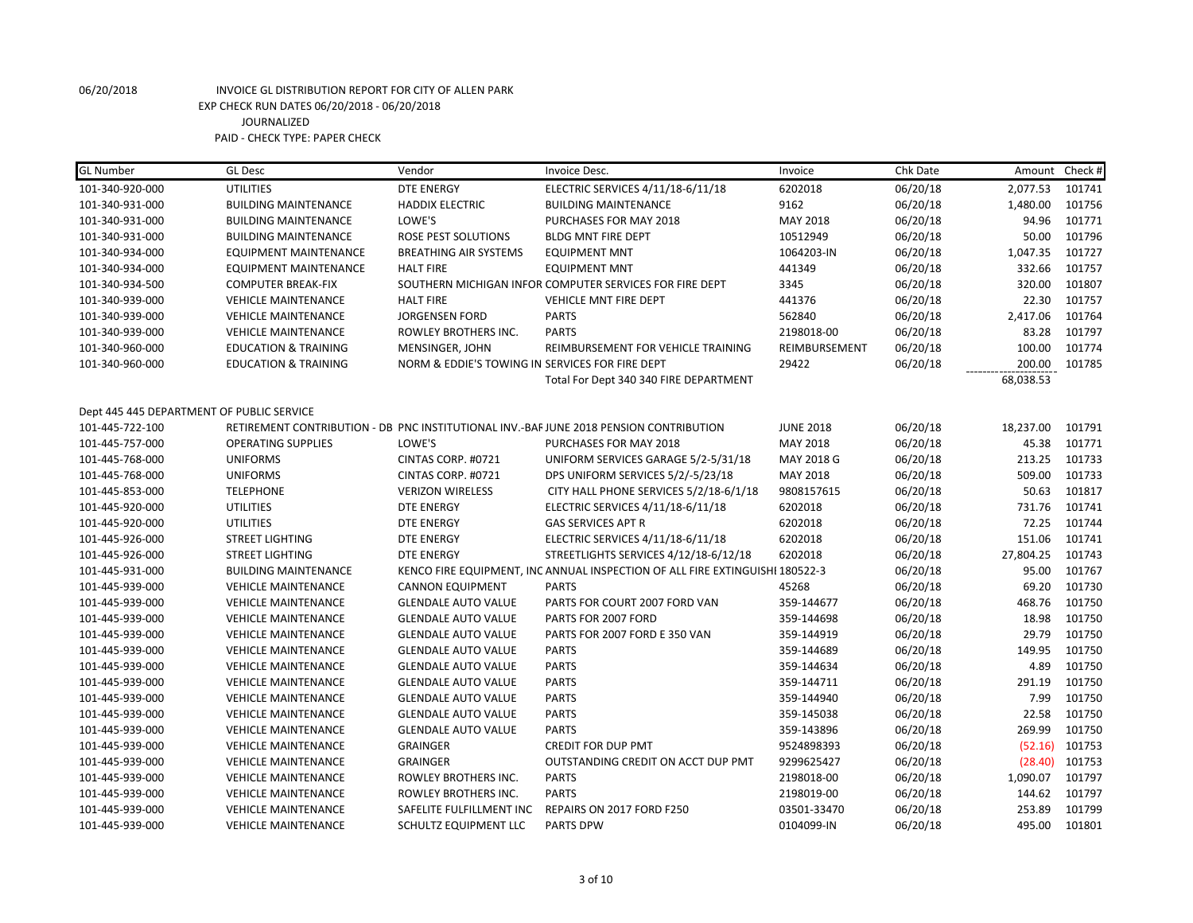| <b>GL Number</b>                          | <b>GL Desc</b>                  | Vendor                                          | Invoice Desc.                                                                          | Invoice          | Chk Date |           | Amount Check # |
|-------------------------------------------|---------------------------------|-------------------------------------------------|----------------------------------------------------------------------------------------|------------------|----------|-----------|----------------|
| 101-340-920-000                           | <b>UTILITIES</b>                | <b>DTE ENERGY</b>                               | ELECTRIC SERVICES 4/11/18-6/11/18                                                      | 6202018          | 06/20/18 | 2,077.53  | 101741         |
| 101-340-931-000                           | <b>BUILDING MAINTENANCE</b>     | <b>HADDIX ELECTRIC</b>                          | <b>BUILDING MAINTENANCE</b>                                                            | 9162             | 06/20/18 | 1,480.00  | 101756         |
| 101-340-931-000                           | <b>BUILDING MAINTENANCE</b>     | LOWE'S                                          | PURCHASES FOR MAY 2018                                                                 | MAY 2018         | 06/20/18 | 94.96     | 101771         |
| 101-340-931-000                           | <b>BUILDING MAINTENANCE</b>     | ROSE PEST SOLUTIONS                             | <b>BLDG MNT FIRE DEPT</b>                                                              | 10512949         | 06/20/18 | 50.00     | 101796         |
| 101-340-934-000                           | <b>EQUIPMENT MAINTENANCE</b>    | <b>BREATHING AIR SYSTEMS</b>                    | <b>EQUIPMENT MNT</b>                                                                   | 1064203-IN       | 06/20/18 | 1,047.35  | 101727         |
| 101-340-934-000                           | <b>EQUIPMENT MAINTENANCE</b>    | <b>HALT FIRE</b>                                | <b>EQUIPMENT MNT</b>                                                                   | 441349           | 06/20/18 | 332.66    | 101757         |
| 101-340-934-500                           | <b>COMPUTER BREAK-FIX</b>       |                                                 | SOUTHERN MICHIGAN INFOR COMPUTER SERVICES FOR FIRE DEPT                                | 3345             | 06/20/18 | 320.00    | 101807         |
| 101-340-939-000                           | <b>VEHICLE MAINTENANCE</b>      | <b>HALT FIRE</b>                                | <b>VEHICLE MNT FIRE DEPT</b>                                                           | 441376           | 06/20/18 | 22.30     | 101757         |
| 101-340-939-000                           | <b>VEHICLE MAINTENANCE</b>      | <b>JORGENSEN FORD</b>                           | <b>PARTS</b>                                                                           | 562840           | 06/20/18 | 2,417.06  | 101764         |
| 101-340-939-000                           | <b>VEHICLE MAINTENANCE</b>      | ROWLEY BROTHERS INC.                            | <b>PARTS</b>                                                                           | 2198018-00       | 06/20/18 | 83.28     | 101797         |
| 101-340-960-000                           | <b>EDUCATION &amp; TRAINING</b> | MENSINGER, JOHN                                 | REIMBURSEMENT FOR VEHICLE TRAINING                                                     | REIMBURSEMENT    | 06/20/18 | 100.00    | 101774         |
| 101-340-960-000                           | <b>EDUCATION &amp; TRAINING</b> | NORM & EDDIE'S TOWING IN SERVICES FOR FIRE DEPT |                                                                                        | 29422            | 06/20/18 | 200.00    | 101785         |
|                                           |                                 |                                                 | Total For Dept 340 340 FIRE DEPARTMENT                                                 |                  |          | 68,038.53 |                |
|                                           |                                 |                                                 |                                                                                        |                  |          |           |                |
| Dept 445 445 DEPARTMENT OF PUBLIC SERVICE |                                 |                                                 |                                                                                        |                  |          |           |                |
| 101-445-722-100                           |                                 |                                                 | RETIREMENT CONTRIBUTION - DB PNC INSTITUTIONAL INV.-BAF JUNE 2018 PENSION CONTRIBUTION | <b>JUNE 2018</b> | 06/20/18 | 18,237.00 | 101791         |
| 101-445-757-000                           | <b>OPERATING SUPPLIES</b>       | LOWE'S                                          | PURCHASES FOR MAY 2018                                                                 | MAY 2018         | 06/20/18 | 45.38     | 101771         |
| 101-445-768-000                           | <b>UNIFORMS</b>                 | CINTAS CORP. #0721                              | UNIFORM SERVICES GARAGE 5/2-5/31/18                                                    | MAY 2018 G       | 06/20/18 | 213.25    | 101733         |
| 101-445-768-000                           | <b>UNIFORMS</b>                 | CINTAS CORP. #0721                              | DPS UNIFORM SERVICES 5/2/-5/23/18                                                      | MAY 2018         | 06/20/18 | 509.00    | 101733         |
| 101-445-853-000                           | <b>TELEPHONE</b>                | <b>VERIZON WIRELESS</b>                         | CITY HALL PHONE SERVICES 5/2/18-6/1/18                                                 | 9808157615       | 06/20/18 | 50.63     | 101817         |
| 101-445-920-000                           | <b>UTILITIES</b>                | <b>DTE ENERGY</b>                               | ELECTRIC SERVICES 4/11/18-6/11/18                                                      | 6202018          | 06/20/18 | 731.76    | 101741         |
| 101-445-920-000                           | <b>UTILITIES</b>                | <b>DTE ENERGY</b>                               | <b>GAS SERVICES APT R</b>                                                              | 6202018          | 06/20/18 | 72.25     | 101744         |
| 101-445-926-000                           | <b>STREET LIGHTING</b>          | <b>DTE ENERGY</b>                               | ELECTRIC SERVICES 4/11/18-6/11/18                                                      | 6202018          | 06/20/18 | 151.06    | 101741         |
| 101-445-926-000                           | <b>STREET LIGHTING</b>          | <b>DTE ENERGY</b>                               | STREETLIGHTS SERVICES 4/12/18-6/12/18                                                  | 6202018          | 06/20/18 | 27,804.25 | 101743         |
| 101-445-931-000                           | <b>BUILDING MAINTENANCE</b>     |                                                 | KENCO FIRE EQUIPMENT, INC ANNUAL INSPECTION OF ALL FIRE EXTINGUISHI 180522-3           |                  | 06/20/18 | 95.00     | 101767         |
| 101-445-939-000                           | <b>VEHICLE MAINTENANCE</b>      | <b>CANNON EQUIPMENT</b>                         | <b>PARTS</b>                                                                           | 45268            | 06/20/18 | 69.20     | 101730         |
| 101-445-939-000                           | <b>VEHICLE MAINTENANCE</b>      | <b>GLENDALE AUTO VALUE</b>                      | PARTS FOR COURT 2007 FORD VAN                                                          | 359-144677       | 06/20/18 | 468.76    | 101750         |
| 101-445-939-000                           | <b>VEHICLE MAINTENANCE</b>      | <b>GLENDALE AUTO VALUE</b>                      | PARTS FOR 2007 FORD                                                                    | 359-144698       | 06/20/18 | 18.98     | 101750         |
| 101-445-939-000                           | <b>VEHICLE MAINTENANCE</b>      | <b>GLENDALE AUTO VALUE</b>                      | PARTS FOR 2007 FORD E 350 VAN                                                          | 359-144919       | 06/20/18 | 29.79     | 101750         |
| 101-445-939-000                           | <b>VEHICLE MAINTENANCE</b>      | <b>GLENDALE AUTO VALUE</b>                      | <b>PARTS</b>                                                                           | 359-144689       | 06/20/18 | 149.95    | 101750         |
| 101-445-939-000                           | <b>VEHICLE MAINTENANCE</b>      | <b>GLENDALE AUTO VALUE</b>                      | <b>PARTS</b>                                                                           | 359-144634       | 06/20/18 | 4.89      | 101750         |
| 101-445-939-000                           | <b>VEHICLE MAINTENANCE</b>      | <b>GLENDALE AUTO VALUE</b>                      | <b>PARTS</b>                                                                           | 359-144711       | 06/20/18 | 291.19    | 101750         |
| 101-445-939-000                           | <b>VEHICLE MAINTENANCE</b>      | <b>GLENDALE AUTO VALUE</b>                      | <b>PARTS</b>                                                                           | 359-144940       | 06/20/18 | 7.99      | 101750         |
| 101-445-939-000                           | <b>VEHICLE MAINTENANCE</b>      | <b>GLENDALE AUTO VALUE</b>                      | <b>PARTS</b>                                                                           | 359-145038       | 06/20/18 | 22.58     | 101750         |
| 101-445-939-000                           | <b>VEHICLE MAINTENANCE</b>      | <b>GLENDALE AUTO VALUE</b>                      | <b>PARTS</b>                                                                           | 359-143896       | 06/20/18 | 269.99    | 101750         |
| 101-445-939-000                           | <b>VEHICLE MAINTENANCE</b>      | <b>GRAINGER</b>                                 | <b>CREDIT FOR DUP PMT</b>                                                              | 9524898393       | 06/20/18 | (52.16)   | 101753         |
| 101-445-939-000                           | <b>VEHICLE MAINTENANCE</b>      | <b>GRAINGER</b>                                 | OUTSTANDING CREDIT ON ACCT DUP PMT                                                     | 9299625427       | 06/20/18 | (28.40)   | 101753         |
| 101-445-939-000                           | <b>VEHICLE MAINTENANCE</b>      | ROWLEY BROTHERS INC.                            | <b>PARTS</b>                                                                           | 2198018-00       | 06/20/18 | 1,090.07  | 101797         |
| 101-445-939-000                           | <b>VEHICLE MAINTENANCE</b>      | ROWLEY BROTHERS INC.                            | <b>PARTS</b>                                                                           | 2198019-00       | 06/20/18 | 144.62    | 101797         |
| 101-445-939-000                           | <b>VEHICLE MAINTENANCE</b>      | SAFELITE FULFILLMENT INC                        | REPAIRS ON 2017 FORD F250                                                              | 03501-33470      | 06/20/18 | 253.89    | 101799         |
| 101-445-939-000                           | <b>VEHICLE MAINTENANCE</b>      | SCHULTZ EQUIPMENT LLC                           | <b>PARTS DPW</b>                                                                       | 0104099-IN       | 06/20/18 | 495.00    | 101801         |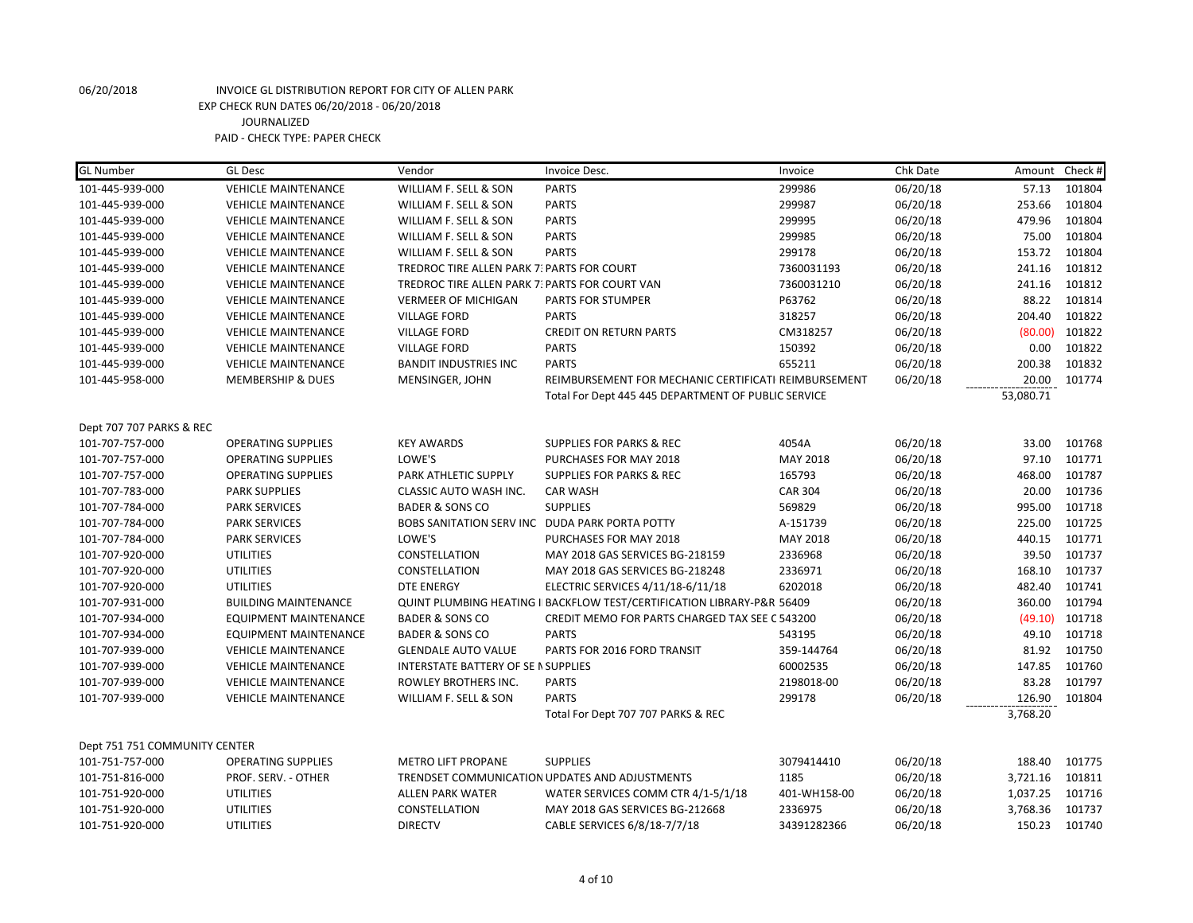| <b>GL Number</b>              | <b>GL Desc</b>               | Vendor                                         | Invoice Desc.                                                                     | Invoice        | Chk Date | Amount Check # |        |
|-------------------------------|------------------------------|------------------------------------------------|-----------------------------------------------------------------------------------|----------------|----------|----------------|--------|
| 101-445-939-000               | <b>VEHICLE MAINTENANCE</b>   | WILLIAM F. SELL & SON                          | <b>PARTS</b>                                                                      | 299986         | 06/20/18 | 57.13          | 101804 |
| 101-445-939-000               | <b>VEHICLE MAINTENANCE</b>   | WILLIAM F. SELL & SON                          | <b>PARTS</b>                                                                      | 299987         | 06/20/18 | 253.66         | 101804 |
| 101-445-939-000               | <b>VEHICLE MAINTENANCE</b>   | WILLIAM F. SELL & SON                          | <b>PARTS</b>                                                                      | 299995         | 06/20/18 | 479.96         | 101804 |
| 101-445-939-000               | <b>VEHICLE MAINTENANCE</b>   | WILLIAM F. SELL & SON                          | <b>PARTS</b>                                                                      | 299985         | 06/20/18 | 75.00          | 101804 |
| 101-445-939-000               | <b>VEHICLE MAINTENANCE</b>   | WILLIAM F. SELL & SON                          | <b>PARTS</b>                                                                      | 299178         | 06/20/18 | 153.72         | 101804 |
| 101-445-939-000               | <b>VEHICLE MAINTENANCE</b>   | TREDROC TIRE ALLEN PARK 7. PARTS FOR COURT     |                                                                                   | 7360031193     | 06/20/18 | 241.16         | 101812 |
| 101-445-939-000               | <b>VEHICLE MAINTENANCE</b>   | TREDROC TIRE ALLEN PARK 7: PARTS FOR COURT VAN |                                                                                   | 7360031210     | 06/20/18 | 241.16         | 101812 |
| 101-445-939-000               | <b>VEHICLE MAINTENANCE</b>   | <b>VERMEER OF MICHIGAN</b>                     | <b>PARTS FOR STUMPER</b>                                                          | P63762         | 06/20/18 | 88.22          | 101814 |
| 101-445-939-000               | <b>VEHICLE MAINTENANCE</b>   | <b>VILLAGE FORD</b>                            | <b>PARTS</b>                                                                      | 318257         | 06/20/18 | 204.40         | 101822 |
| 101-445-939-000               | <b>VEHICLE MAINTENANCE</b>   | <b>VILLAGE FORD</b>                            | <b>CREDIT ON RETURN PARTS</b>                                                     | CM318257       | 06/20/18 | (80.00)        | 101822 |
| 101-445-939-000               | <b>VEHICLE MAINTENANCE</b>   | <b>VILLAGE FORD</b>                            | <b>PARTS</b>                                                                      | 150392         | 06/20/18 | 0.00           | 101822 |
| 101-445-939-000               | <b>VEHICLE MAINTENANCE</b>   | <b>BANDIT INDUSTRIES INC</b>                   | <b>PARTS</b>                                                                      | 655211         | 06/20/18 | 200.38         | 101832 |
| 101-445-958-000               | <b>MEMBERSHIP &amp; DUES</b> | MENSINGER, JOHN                                | REIMBURSEMENT FOR MECHANIC CERTIFICATI REIMBURSEMENT                              |                | 06/20/18 | 20.00          | 101774 |
|                               |                              |                                                | Total For Dept 445 445 DEPARTMENT OF PUBLIC SERVICE                               |                |          | 53,080.71      |        |
|                               |                              |                                                |                                                                                   |                |          |                |        |
| Dept 707 707 PARKS & REC      |                              |                                                |                                                                                   |                |          |                |        |
| 101-707-757-000               | <b>OPERATING SUPPLIES</b>    | <b>KEY AWARDS</b>                              | <b>SUPPLIES FOR PARKS &amp; REC</b>                                               | 4054A          | 06/20/18 | 33.00          | 101768 |
| 101-707-757-000               | <b>OPERATING SUPPLIES</b>    | LOWE'S                                         | PURCHASES FOR MAY 2018                                                            | MAY 2018       | 06/20/18 | 97.10          | 101771 |
| 101-707-757-000               | <b>OPERATING SUPPLIES</b>    | PARK ATHLETIC SUPPLY                           | <b>SUPPLIES FOR PARKS &amp; REC</b>                                               | 165793         | 06/20/18 | 468.00         | 101787 |
| 101-707-783-000               | <b>PARK SUPPLIES</b>         | CLASSIC AUTO WASH INC.                         | <b>CAR WASH</b>                                                                   | <b>CAR 304</b> | 06/20/18 | 20.00          | 101736 |
| 101-707-784-000               | <b>PARK SERVICES</b>         | <b>BADER &amp; SONS CO</b>                     | <b>SUPPLIES</b>                                                                   | 569829         | 06/20/18 | 995.00         | 101718 |
| 101-707-784-000               | <b>PARK SERVICES</b>         | BOBS SANITATION SERV INC DUDA PARK PORTA POTTY |                                                                                   | A-151739       | 06/20/18 | 225.00         | 101725 |
| 101-707-784-000               | <b>PARK SERVICES</b>         | LOWE'S                                         | PURCHASES FOR MAY 2018                                                            | MAY 2018       | 06/20/18 | 440.15         | 101771 |
| 101-707-920-000               | <b>UTILITIES</b>             | CONSTELLATION                                  | MAY 2018 GAS SERVICES BG-218159                                                   | 2336968        | 06/20/18 | 39.50          | 101737 |
| 101-707-920-000               | <b>UTILITIES</b>             | CONSTELLATION                                  | MAY 2018 GAS SERVICES BG-218248                                                   | 2336971        | 06/20/18 | 168.10         | 101737 |
| 101-707-920-000               | <b>UTILITIES</b>             | <b>DTE ENERGY</b>                              | ELECTRIC SERVICES 4/11/18-6/11/18                                                 | 6202018        | 06/20/18 | 482.40         | 101741 |
| 101-707-931-000               | <b>BUILDING MAINTENANCE</b>  |                                                | <b>QUINT PLUMBING HEATING I BACKFLOW TEST/CERTIFICATION LIBRARY-P&amp;R 56409</b> |                | 06/20/18 | 360.00         | 101794 |
| 101-707-934-000               | <b>EQUIPMENT MAINTENANCE</b> | <b>BADER &amp; SONS CO</b>                     | CREDIT MEMO FOR PARTS CHARGED TAX SEE C 543200                                    |                | 06/20/18 | (49.10)        | 101718 |
| 101-707-934-000               | EQUIPMENT MAINTENANCE        | <b>BADER &amp; SONS CO</b>                     | <b>PARTS</b>                                                                      | 543195         | 06/20/18 | 49.10          | 101718 |
| 101-707-939-000               | <b>VEHICLE MAINTENANCE</b>   | <b>GLENDALE AUTO VALUE</b>                     | PARTS FOR 2016 FORD TRANSIT                                                       | 359-144764     | 06/20/18 | 81.92          | 101750 |
| 101-707-939-000               | <b>VEHICLE MAINTENANCE</b>   | INTERSTATE BATTERY OF SE I SUPPLIES            |                                                                                   | 60002535       | 06/20/18 | 147.85         | 101760 |
| 101-707-939-000               | <b>VEHICLE MAINTENANCE</b>   | ROWLEY BROTHERS INC.                           | <b>PARTS</b>                                                                      | 2198018-00     | 06/20/18 | 83.28          | 101797 |
| 101-707-939-000               | <b>VEHICLE MAINTENANCE</b>   | WILLIAM F. SELL & SON                          | <b>PARTS</b>                                                                      | 299178         | 06/20/18 | 126.90         | 101804 |
|                               |                              |                                                | Total For Dept 707 707 PARKS & REC                                                |                |          | 3,768.20       |        |
|                               |                              |                                                |                                                                                   |                |          |                |        |
| Dept 751 751 COMMUNITY CENTER |                              |                                                |                                                                                   |                |          |                |        |
| 101-751-757-000               | <b>OPERATING SUPPLIES</b>    | <b>METRO LIFT PROPANE</b>                      | <b>SUPPLIES</b>                                                                   | 3079414410     | 06/20/18 | 188.40         | 101775 |
| 101-751-816-000               | PROF. SERV. - OTHER          |                                                | TRENDSET COMMUNICATION UPDATES AND ADJUSTMENTS                                    | 1185           | 06/20/18 | 3,721.16       | 101811 |
| 101-751-920-000               | <b>UTILITIES</b>             | <b>ALLEN PARK WATER</b>                        | WATER SERVICES COMM CTR 4/1-5/1/18                                                | 401-WH158-00   | 06/20/18 | 1,037.25       | 101716 |
| 101-751-920-000               | <b>UTILITIES</b>             | CONSTELLATION                                  | MAY 2018 GAS SERVICES BG-212668                                                   | 2336975        | 06/20/18 | 3,768.36       | 101737 |
| 101-751-920-000               | <b>UTILITIES</b>             | <b>DIRECTV</b>                                 | CABLE SERVICES 6/8/18-7/7/18                                                      | 34391282366    | 06/20/18 | 150.23         | 101740 |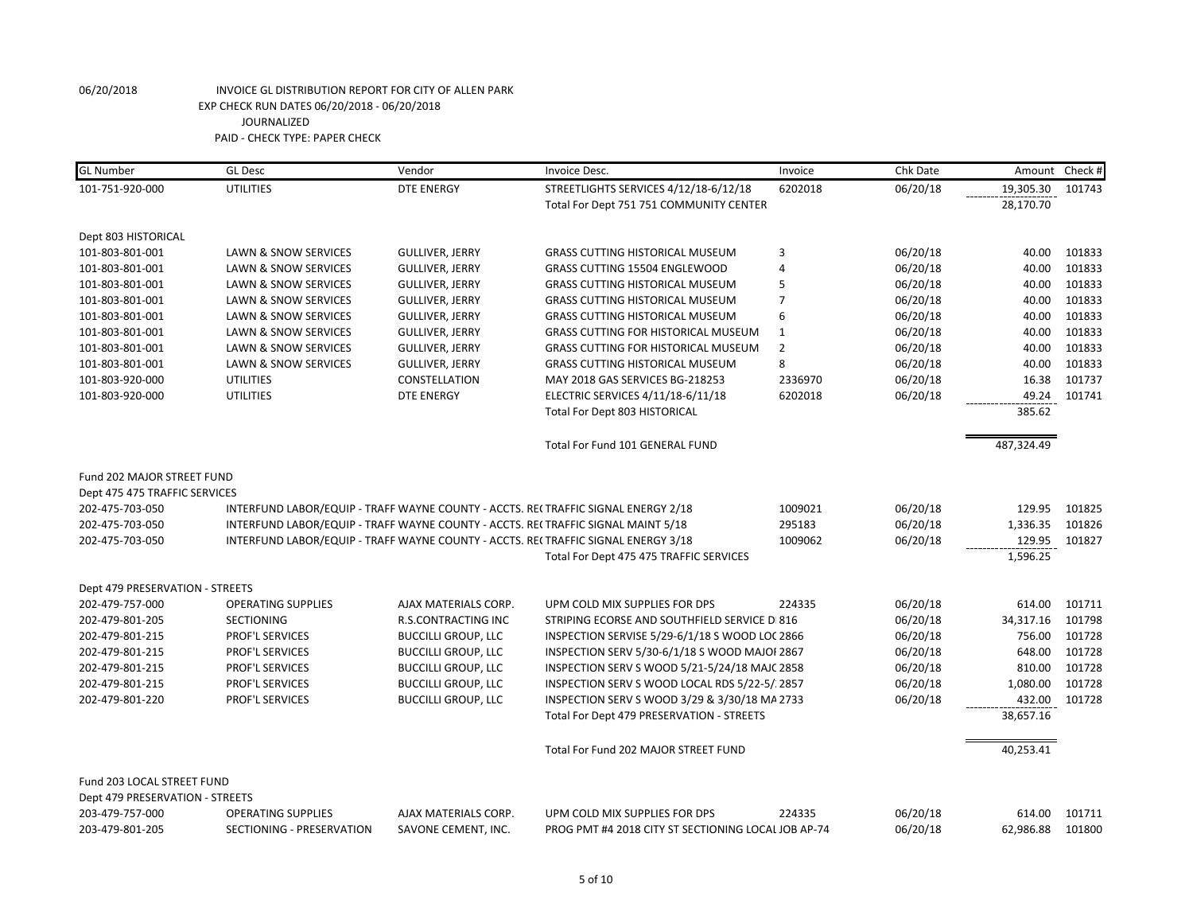| <b>GL</b> Number                | <b>GL Desc</b>                  | Vendor                     | Invoice Desc.                                                                     | Invoice        | Chk Date |            | Amount Check # |
|---------------------------------|---------------------------------|----------------------------|-----------------------------------------------------------------------------------|----------------|----------|------------|----------------|
| 101-751-920-000                 | <b>UTILITIES</b>                | <b>DTE ENERGY</b>          | STREETLIGHTS SERVICES 4/12/18-6/12/18                                             | 6202018        | 06/20/18 | 19,305.30  | 101743         |
|                                 |                                 |                            | Total For Dept 751 751 COMMUNITY CENTER                                           |                |          | 28,170.70  |                |
| Dept 803 HISTORICAL             |                                 |                            |                                                                                   |                |          |            |                |
| 101-803-801-001                 | <b>LAWN &amp; SNOW SERVICES</b> | <b>GULLIVER, JERRY</b>     | <b>GRASS CUTTING HISTORICAL MUSEUM</b>                                            | 3              | 06/20/18 | 40.00      | 101833         |
| 101-803-801-001                 | <b>LAWN &amp; SNOW SERVICES</b> | <b>GULLIVER, JERRY</b>     | GRASS CUTTING 15504 ENGLEWOOD                                                     | $\overline{4}$ | 06/20/18 | 40.00      | 101833         |
| 101-803-801-001                 | LAWN & SNOW SERVICES            | <b>GULLIVER, JERRY</b>     | <b>GRASS CUTTING HISTORICAL MUSEUM</b>                                            | 5              | 06/20/18 | 40.00      | 101833         |
| 101-803-801-001                 | <b>LAWN &amp; SNOW SERVICES</b> | <b>GULLIVER, JERRY</b>     | <b>GRASS CUTTING HISTORICAL MUSEUM</b>                                            | $\overline{7}$ | 06/20/18 | 40.00      | 101833         |
| 101-803-801-001                 | LAWN & SNOW SERVICES            | <b>GULLIVER, JERRY</b>     | <b>GRASS CUTTING HISTORICAL MUSEUM</b>                                            | 6              | 06/20/18 | 40.00      | 101833         |
| 101-803-801-001                 | <b>LAWN &amp; SNOW SERVICES</b> | <b>GULLIVER, JERRY</b>     | <b>GRASS CUTTING FOR HISTORICAL MUSEUM</b>                                        | $\mathbf{1}$   | 06/20/18 | 40.00      | 101833         |
| 101-803-801-001                 | <b>LAWN &amp; SNOW SERVICES</b> | <b>GULLIVER, JERRY</b>     | <b>GRASS CUTTING FOR HISTORICAL MUSEUM</b>                                        | $\overline{2}$ | 06/20/18 | 40.00      | 101833         |
| 101-803-801-001                 | LAWN & SNOW SERVICES            | <b>GULLIVER, JERRY</b>     | <b>GRASS CUTTING HISTORICAL MUSEUM</b>                                            | 8              | 06/20/18 | 40.00      | 101833         |
| 101-803-920-000                 | <b>UTILITIES</b>                | CONSTELLATION              | MAY 2018 GAS SERVICES BG-218253                                                   | 2336970        | 06/20/18 | 16.38      | 101737         |
| 101-803-920-000                 | <b>UTILITIES</b>                | <b>DTE ENERGY</b>          | ELECTRIC SERVICES 4/11/18-6/11/18                                                 | 6202018        | 06/20/18 | 49.24      | 101741         |
|                                 |                                 |                            | Total For Dept 803 HISTORICAL                                                     |                |          | 385.62     |                |
|                                 |                                 |                            | Total For Fund 101 GENERAL FUND                                                   |                |          | 487,324.49 |                |
| Fund 202 MAJOR STREET FUND      |                                 |                            |                                                                                   |                |          |            |                |
| Dept 475 475 TRAFFIC SERVICES   |                                 |                            |                                                                                   |                |          |            |                |
| 202-475-703-050                 |                                 |                            | INTERFUND LABOR/EQUIP - TRAFF WAYNE COUNTY - ACCTS. RE(TRAFFIC SIGNAL ENERGY 2/18 | 1009021        | 06/20/18 | 129.95     | 101825         |
| 202-475-703-050                 |                                 |                            | INTERFUND LABOR/EQUIP - TRAFF WAYNE COUNTY - ACCTS. RECTRAFFIC SIGNAL MAINT 5/18  | 295183         | 06/20/18 | 1,336.35   | 101826         |
| 202-475-703-050                 |                                 |                            | INTERFUND LABOR/EQUIP - TRAFF WAYNE COUNTY - ACCTS. RE(TRAFFIC SIGNAL ENERGY 3/18 | 1009062        | 06/20/18 | 129.95     | 101827         |
|                                 |                                 |                            | Total For Dept 475 475 TRAFFIC SERVICES                                           |                |          | 1,596.25   |                |
| Dept 479 PRESERVATION - STREETS |                                 |                            |                                                                                   |                |          |            |                |
| 202-479-757-000                 | <b>OPERATING SUPPLIES</b>       | AJAX MATERIALS CORP.       | UPM COLD MIX SUPPLIES FOR DPS                                                     | 224335         | 06/20/18 | 614.00     | 101711         |
| 202-479-801-205                 | <b>SECTIONING</b>               | <b>R.S.CONTRACTING INC</b> | STRIPING ECORSE AND SOUTHFIELD SERVICE D 816                                      |                | 06/20/18 | 34,317.16  | 101798         |
| 202-479-801-215                 | PROF'L SERVICES                 | <b>BUCCILLI GROUP, LLC</b> | INSPECTION SERVISE 5/29-6/1/18 S WOOD LOC 2866                                    |                | 06/20/18 | 756.00     | 101728         |
| 202-479-801-215                 | PROF'L SERVICES                 | <b>BUCCILLI GROUP, LLC</b> | INSPECTION SERV 5/30-6/1/18 S WOOD MAJOI 2867                                     |                | 06/20/18 | 648.00     | 101728         |
| 202-479-801-215                 | PROF'L SERVICES                 | <b>BUCCILLI GROUP, LLC</b> | INSPECTION SERV S WOOD 5/21-5/24/18 MAJC 2858                                     |                | 06/20/18 | 810.00     | 101728         |
| 202-479-801-215                 | PROF'L SERVICES                 | <b>BUCCILLI GROUP, LLC</b> | INSPECTION SERV S WOOD LOCAL RDS 5/22-5/2857                                      |                | 06/20/18 | 1,080.00   | 101728         |
| 202-479-801-220                 | <b>PROF'L SERVICES</b>          | <b>BUCCILLI GROUP, LLC</b> | INSPECTION SERV S WOOD 3/29 & 3/30/18 MA 2733                                     |                | 06/20/18 | 432.00     | 101728         |
|                                 |                                 |                            | Total For Dept 479 PRESERVATION - STREETS                                         |                |          | 38,657.16  |                |
|                                 |                                 |                            | Total For Fund 202 MAJOR STREET FUND                                              |                |          | 40,253.41  |                |
| Fund 203 LOCAL STREET FUND      |                                 |                            |                                                                                   |                |          |            |                |
| Dept 479 PRESERVATION - STREETS |                                 |                            |                                                                                   |                |          |            |                |
| 203-479-757-000                 | <b>OPERATING SUPPLIES</b>       | AJAX MATERIALS CORP.       | UPM COLD MIX SUPPLIES FOR DPS                                                     | 224335         | 06/20/18 | 614.00     | 101711         |
| 203-479-801-205                 | SECTIONING - PRESERVATION       | SAVONE CEMENT, INC.        | PROG PMT #4 2018 CITY ST SECTIONING LOCAL JOB AP-74                               |                | 06/20/18 | 62,986.88  | 101800         |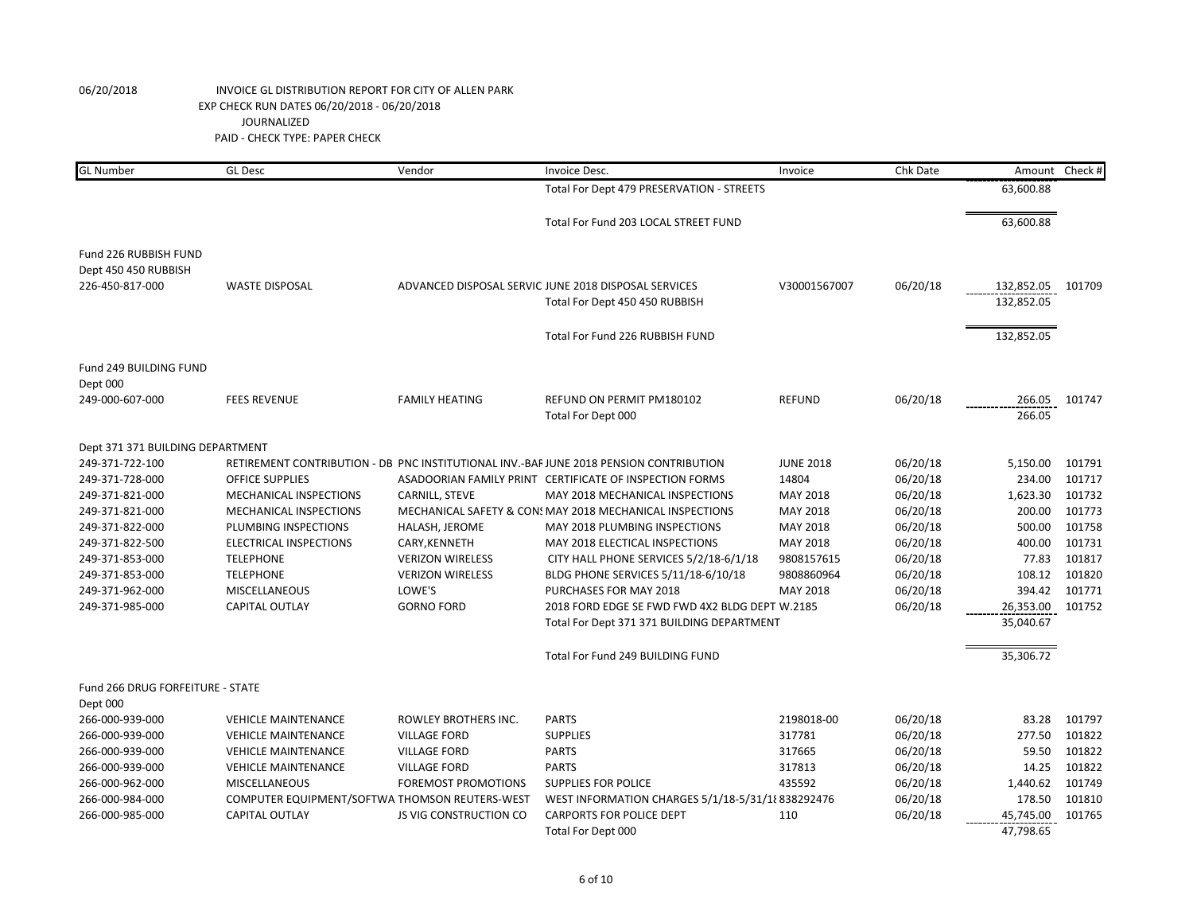| <b>GL Number</b>                              | <b>GL Desc</b>                                 | Vendor                        | Invoice Desc.                                                                          | Invoice          | Chk Date | Amount                   | Check # |
|-----------------------------------------------|------------------------------------------------|-------------------------------|----------------------------------------------------------------------------------------|------------------|----------|--------------------------|---------|
|                                               |                                                |                               | Total For Dept 479 PRESERVATION - STREETS                                              |                  |          | 63,600.88                |         |
|                                               |                                                |                               | Total For Fund 203 LOCAL STREET FUND                                                   |                  |          | 63,600.88                |         |
| Fund 226 RUBBISH FUND<br>Dept 450 450 RUBBISH |                                                |                               |                                                                                        |                  |          |                          |         |
| 226-450-817-000                               | <b>WASTE DISPOSAL</b>                          |                               | ADVANCED DISPOSAL SERVIC JUNE 2018 DISPOSAL SERVICES<br>Total For Dept 450 450 RUBBISH | V30001567007     | 06/20/18 | 132,852.05<br>132,852.05 | 101709  |
|                                               |                                                |                               | Total For Fund 226 RUBBISH FUND                                                        |                  |          | 132,852.05               |         |
| Fund 249 BUILDING FUND<br>Dept 000            |                                                |                               |                                                                                        |                  |          |                          |         |
| 249-000-607-000                               | <b>FEES REVENUE</b>                            | <b>FAMILY HEATING</b>         | REFUND ON PERMIT PM180102<br>Total For Dept 000                                        | <b>REFUND</b>    | 06/20/18 | 266.05<br>266.05         | 101747  |
|                                               |                                                |                               |                                                                                        |                  |          |                          |         |
| Dept 371 371 BUILDING DEPARTMENT              |                                                |                               |                                                                                        |                  |          |                          |         |
| 249-371-722-100                               |                                                |                               | RETIREMENT CONTRIBUTION - DB PNC INSTITUTIONAL INV.-BAF JUNE 2018 PENSION CONTRIBUTION | <b>JUNE 2018</b> | 06/20/18 | 5,150.00                 | 101791  |
| 249-371-728-000                               | <b>OFFICE SUPPLIES</b>                         |                               | ASADOORIAN FAMILY PRINT CERTIFICATE OF INSPECTION FORMS                                | 14804            | 06/20/18 | 234.00                   | 101717  |
| 249-371-821-000                               | <b>MECHANICAL INSPECTIONS</b>                  | CARNILL, STEVE                | MAY 2018 MECHANICAL INSPECTIONS                                                        | MAY 2018         | 06/20/18 | 1,623.30                 | 101732  |
| 249-371-821-000                               | MECHANICAL INSPECTIONS                         |                               | MECHANICAL SAFETY & CON: MAY 2018 MECHANICAL INSPECTIONS                               | MAY 2018         | 06/20/18 | 200.00                   | 101773  |
| 249-371-822-000                               | PLUMBING INSPECTIONS                           | HALASH, JEROME                | MAY 2018 PLUMBING INSPECTIONS                                                          | MAY 2018         | 06/20/18 | 500.00                   | 101758  |
| 249-371-822-500                               | <b>ELECTRICAL INSPECTIONS</b>                  | CARY, KENNETH                 | MAY 2018 ELECTICAL INSPECTIONS                                                         | MAY 2018         | 06/20/18 | 400.00                   | 101731  |
| 249-371-853-000                               | <b>TELEPHONE</b>                               | <b>VERIZON WIRELESS</b>       | CITY HALL PHONE SERVICES 5/2/18-6/1/18                                                 | 9808157615       | 06/20/18 | 77.83                    | 101817  |
| 249-371-853-000                               | <b>TELEPHONE</b>                               | <b>VERIZON WIRELESS</b>       | BLDG PHONE SERVICES 5/11/18-6/10/18                                                    | 9808860964       | 06/20/18 | 108.12                   | 101820  |
| 249-371-962-000                               | <b>MISCELLANEOUS</b>                           | LOWE'S                        | PURCHASES FOR MAY 2018                                                                 | MAY 2018         | 06/20/18 | 394.42                   | 101771  |
| 249-371-985-000                               | CAPITAL OUTLAY                                 | <b>GORNO FORD</b>             | 2018 FORD EDGE SE FWD FWD 4X2 BLDG DEPT W.2185                                         |                  | 06/20/18 | 26,353.00                | 101752  |
|                                               |                                                |                               | Total For Dept 371 371 BUILDING DEPARTMENT                                             |                  |          | 35,040.67                |         |
|                                               |                                                |                               | Total For Fund 249 BUILDING FUND                                                       |                  |          | 35,306.72                |         |
| Fund 266 DRUG FORFEITURE - STATE              |                                                |                               |                                                                                        |                  |          |                          |         |
| Dept 000                                      |                                                |                               |                                                                                        |                  |          |                          |         |
| 266-000-939-000                               | <b>VEHICLE MAINTENANCE</b>                     | ROWLEY BROTHERS INC.          | <b>PARTS</b>                                                                           | 2198018-00       | 06/20/18 | 83.28                    | 101797  |
| 266-000-939-000                               | <b>VEHICLE MAINTENANCE</b>                     | <b>VILLAGE FORD</b>           | <b>SUPPLIES</b>                                                                        | 317781           | 06/20/18 | 277.50                   | 101822  |
| 266-000-939-000                               | <b>VEHICLE MAINTENANCE</b>                     | <b>VILLAGE FORD</b>           | <b>PARTS</b>                                                                           | 317665           | 06/20/18 | 59.50                    | 101822  |
| 266-000-939-000                               | <b>VEHICLE MAINTENANCE</b>                     | <b>VILLAGE FORD</b>           | <b>PARTS</b>                                                                           | 317813           | 06/20/18 | 14.25                    | 101822  |
| 266-000-962-000                               | <b>MISCELLANEOUS</b>                           | <b>FOREMOST PROMOTIONS</b>    | <b>SUPPLIES FOR POLICE</b>                                                             | 435592           | 06/20/18 | 1,440.62                 | 101749  |
| 266-000-984-000                               | COMPUTER EQUIPMENT/SOFTWA THOMSON REUTERS-WEST |                               | WEST INFORMATION CHARGES 5/1/18-5/31/18 838292476                                      |                  | 06/20/18 | 178.50                   | 101810  |
| 266-000-985-000                               | <b>CAPITAL OUTLAY</b>                          | <b>JS VIG CONSTRUCTION CO</b> | <b>CARPORTS FOR POLICE DEPT</b>                                                        | 110              | 06/20/18 | 45,745.00                | 101765  |
|                                               |                                                |                               | Total For Dept 000                                                                     |                  |          | 47.798.65                |         |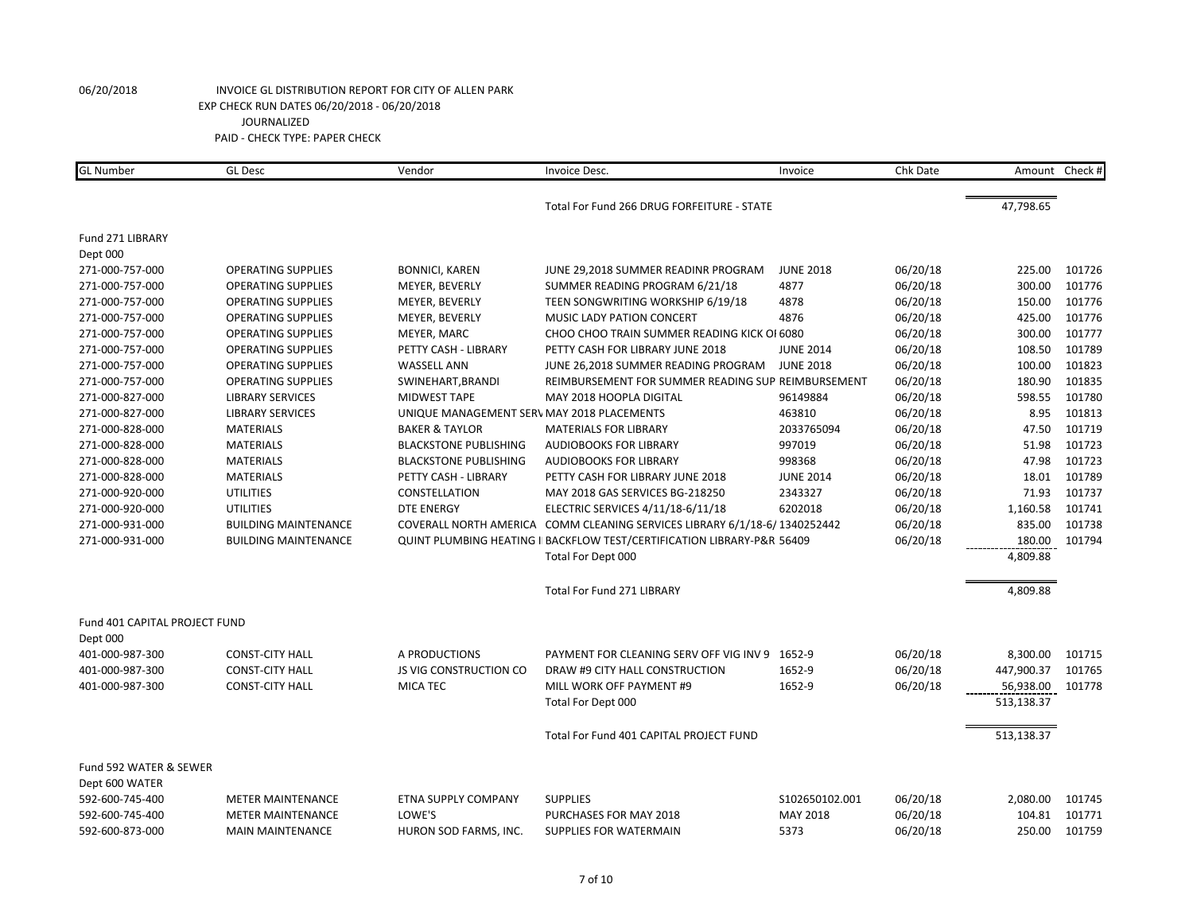| <b>GL</b> Number              | <b>GL Desc</b>              | Vendor                                     | Invoice Desc.                                                                      | Invoice          | Chk Date |            | Amount Check # |
|-------------------------------|-----------------------------|--------------------------------------------|------------------------------------------------------------------------------------|------------------|----------|------------|----------------|
|                               |                             |                                            | Total For Fund 266 DRUG FORFEITURE - STATE                                         |                  |          | 47,798.65  |                |
| Fund 271 LIBRARY              |                             |                                            |                                                                                    |                  |          |            |                |
| Dept 000                      |                             |                                            |                                                                                    |                  |          |            |                |
| 271-000-757-000               | <b>OPERATING SUPPLIES</b>   | <b>BONNICI, KAREN</b>                      | JUNE 29,2018 SUMMER READINR PROGRAM                                                | <b>JUNE 2018</b> | 06/20/18 | 225.00     | 101726         |
| 271-000-757-000               | <b>OPERATING SUPPLIES</b>   | MEYER, BEVERLY                             | SUMMER READING PROGRAM 6/21/18                                                     | 4877             | 06/20/18 | 300.00     | 101776         |
| 271-000-757-000               | <b>OPERATING SUPPLIES</b>   | MEYER, BEVERLY                             | TEEN SONGWRITING WORKSHIP 6/19/18                                                  | 4878             | 06/20/18 | 150.00     | 101776         |
| 271-000-757-000               | <b>OPERATING SUPPLIES</b>   | MEYER, BEVERLY                             | <b>MUSIC LADY PATION CONCERT</b>                                                   | 4876             | 06/20/18 | 425.00     | 101776         |
| 271-000-757-000               | <b>OPERATING SUPPLIES</b>   | MEYER, MARC                                | CHOO CHOO TRAIN SUMMER READING KICK OI 6080                                        |                  | 06/20/18 | 300.00     | 101777         |
| 271-000-757-000               | <b>OPERATING SUPPLIES</b>   | PETTY CASH - LIBRARY                       | PETTY CASH FOR LIBRARY JUNE 2018                                                   | <b>JUNE 2014</b> | 06/20/18 | 108.50     | 101789         |
| 271-000-757-000               | <b>OPERATING SUPPLIES</b>   | <b>WASSELL ANN</b>                         | JUNE 26,2018 SUMMER READING PROGRAM                                                | <b>JUNE 2018</b> | 06/20/18 | 100.00     | 101823         |
| 271-000-757-000               | <b>OPERATING SUPPLIES</b>   | SWINEHART, BRANDI                          | REIMBURSEMENT FOR SUMMER READING SUP REIMBURSEMENT                                 |                  | 06/20/18 | 180.90     | 101835         |
| 271-000-827-000               | <b>LIBRARY SERVICES</b>     | <b>MIDWEST TAPE</b>                        | MAY 2018 HOOPLA DIGITAL                                                            | 96149884         | 06/20/18 | 598.55     | 101780         |
| 271-000-827-000               | <b>LIBRARY SERVICES</b>     | UNIQUE MANAGEMENT SERV MAY 2018 PLACEMENTS |                                                                                    | 463810           | 06/20/18 | 8.95       | 101813         |
| 271-000-828-000               | <b>MATERIALS</b>            | <b>BAKER &amp; TAYLOR</b>                  | <b>MATERIALS FOR LIBRARY</b>                                                       | 2033765094       | 06/20/18 | 47.50      | 101719         |
| 271-000-828-000               | <b>MATERIALS</b>            | <b>BLACKSTONE PUBLISHING</b>               | <b>AUDIOBOOKS FOR LIBRARY</b>                                                      | 997019           | 06/20/18 | 51.98      | 101723         |
| 271-000-828-000               | <b>MATERIALS</b>            | <b>BLACKSTONE PUBLISHING</b>               | <b>AUDIOBOOKS FOR LIBRARY</b>                                                      | 998368           | 06/20/18 | 47.98      | 101723         |
| 271-000-828-000               | <b>MATERIALS</b>            | PETTY CASH - LIBRARY                       | PETTY CASH FOR LIBRARY JUNE 2018                                                   | <b>JUNE 2014</b> | 06/20/18 | 18.01      | 101789         |
| 271-000-920-000               | UTILITIES                   | CONSTELLATION                              | MAY 2018 GAS SERVICES BG-218250                                                    | 2343327          | 06/20/18 | 71.93      | 101737         |
| 271-000-920-000               | <b>UTILITIES</b>            | <b>DTE ENERGY</b>                          | ELECTRIC SERVICES 4/11/18-6/11/18                                                  | 6202018          | 06/20/18 | 1,160.58   | 101741         |
| 271-000-931-000               | <b>BUILDING MAINTENANCE</b> |                                            | COVERALL NORTH AMERICA COMM CLEANING SERVICES LIBRARY 6/1/18-6/1340252442          |                  | 06/20/18 | 835.00     | 101738         |
| 271-000-931-000               | <b>BUILDING MAINTENANCE</b> |                                            | <b>QUINT PLUMBING HEATING II BACKFLOW TEST/CERTIFICATION LIBRARY-P&amp;R 56409</b> |                  | 06/20/18 | 180.00     | 101794         |
|                               |                             |                                            | Total For Dept 000                                                                 |                  |          | 4,809.88   |                |
|                               |                             |                                            | Total For Fund 271 LIBRARY                                                         |                  |          | 4,809.88   |                |
| Fund 401 CAPITAL PROJECT FUND |                             |                                            |                                                                                    |                  |          |            |                |
| Dept 000                      |                             |                                            |                                                                                    |                  |          |            |                |
| 401-000-987-300               | <b>CONST-CITY HALL</b>      | A PRODUCTIONS                              | PAYMENT FOR CLEANING SERV OFF VIG INV 9 1652-9                                     |                  | 06/20/18 | 8,300.00   | 101715         |
| 401-000-987-300               | <b>CONST-CITY HALL</b>      | <b>JS VIG CONSTRUCTION CO</b>              | DRAW #9 CITY HALL CONSTRUCTION                                                     | 1652-9           | 06/20/18 | 447,900.37 | 101765         |
| 401-000-987-300               | <b>CONST-CITY HALL</b>      | <b>MICA TEC</b>                            | MILL WORK OFF PAYMENT #9                                                           | 1652-9           | 06/20/18 | 56,938.00  | 101778         |
|                               |                             |                                            | Total For Dept 000                                                                 |                  |          | 513,138.37 |                |
|                               |                             |                                            | Total For Fund 401 CAPITAL PROJECT FUND                                            |                  |          | 513,138.37 |                |
| Fund 592 WATER & SEWER        |                             |                                            |                                                                                    |                  |          |            |                |
| Dept 600 WATER                |                             |                                            |                                                                                    |                  |          |            |                |
| 592-600-745-400               | <b>METER MAINTENANCE</b>    | <b>ETNA SUPPLY COMPANY</b>                 | <b>SUPPLIES</b>                                                                    | \$102650102.001  | 06/20/18 | 2,080.00   | 101745         |
| 592-600-745-400               | <b>METER MAINTENANCE</b>    | LOWE'S                                     | PURCHASES FOR MAY 2018                                                             | MAY 2018         | 06/20/18 | 104.81     | 101771         |
| 592-600-873-000               | <b>MAIN MAINTENANCE</b>     | HURON SOD FARMS, INC.                      | SUPPLIES FOR WATERMAIN                                                             | 5373             | 06/20/18 | 250.00     | 101759         |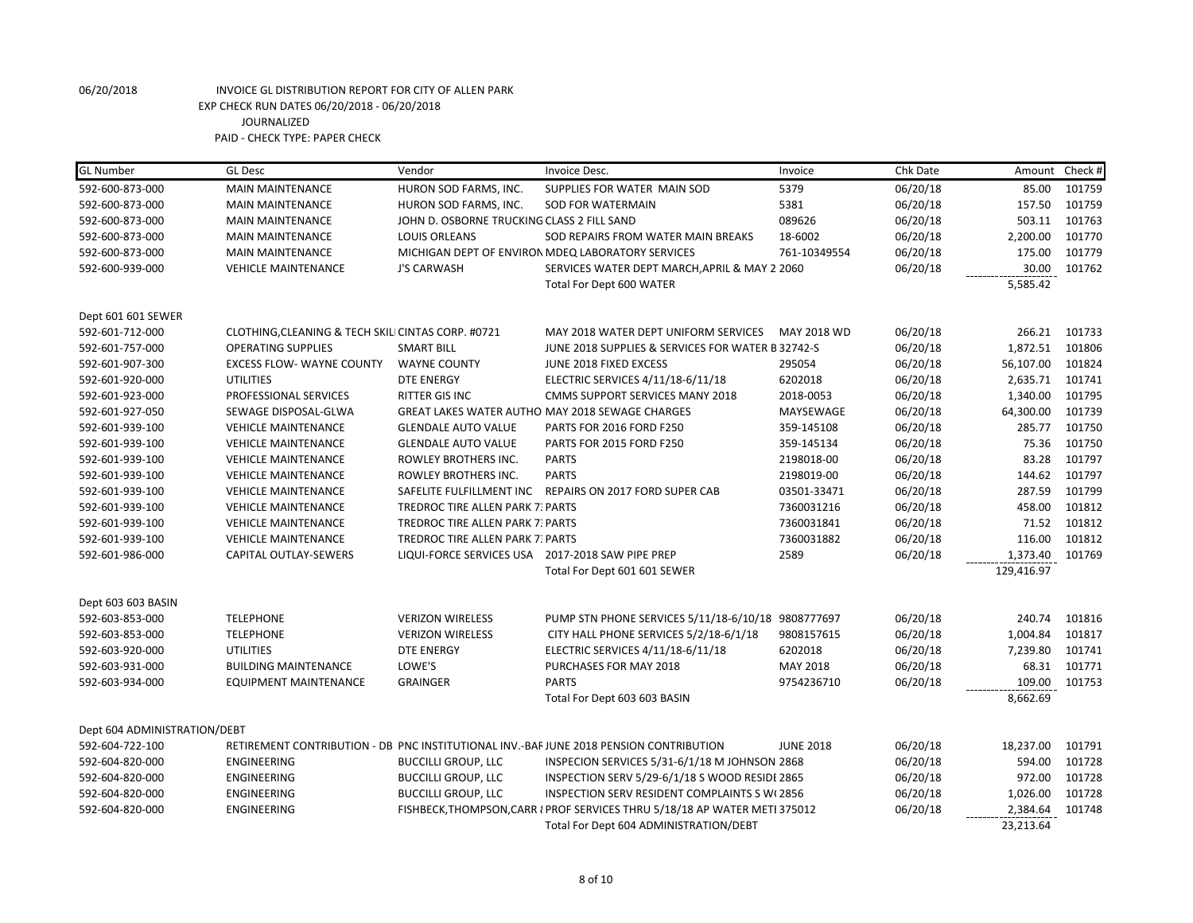| <b>GL Number</b>             | <b>GL Desc</b>                                     | Vendor                                           | Invoice Desc.                                                                          | Invoice          | Chk Date |            | Amount Check # |
|------------------------------|----------------------------------------------------|--------------------------------------------------|----------------------------------------------------------------------------------------|------------------|----------|------------|----------------|
| 592-600-873-000              | <b>MAIN MAINTENANCE</b>                            | HURON SOD FARMS, INC.                            | SUPPLIES FOR WATER MAIN SOD                                                            | 5379             | 06/20/18 | 85.00      | 101759         |
| 592-600-873-000              | <b>MAIN MAINTENANCE</b>                            | HURON SOD FARMS, INC.                            | <b>SOD FOR WATERMAIN</b>                                                               | 5381             | 06/20/18 | 157.50     | 101759         |
| 592-600-873-000              | <b>MAIN MAINTENANCE</b>                            | JOHN D. OSBORNE TRUCKING CLASS 2 FILL SAND       |                                                                                        | 089626           | 06/20/18 | 503.11     | 101763         |
| 592-600-873-000              | <b>MAIN MAINTENANCE</b>                            | <b>LOUIS ORLEANS</b>                             | SOD REPAIRS FROM WATER MAIN BREAKS                                                     | 18-6002          | 06/20/18 | 2,200.00   | 101770         |
| 592-600-873-000              | <b>MAIN MAINTENANCE</b>                            |                                                  | MICHIGAN DEPT OF ENVIRON MDEQ LABORATORY SERVICES                                      | 761-10349554     | 06/20/18 | 175.00     | 101779         |
| 592-600-939-000              | <b>VEHICLE MAINTENANCE</b>                         | J'S CARWASH                                      | SERVICES WATER DEPT MARCH, APRIL & MAY 2 2060                                          |                  | 06/20/18 | 30.00      | 101762         |
|                              |                                                    |                                                  | Total For Dept 600 WATER                                                               |                  |          | 5,585.42   |                |
| Dept 601 601 SEWER           |                                                    |                                                  |                                                                                        |                  |          |            |                |
| 592-601-712-000              | CLOTHING, CLEANING & TECH SKILI CINTAS CORP. #0721 |                                                  | MAY 2018 WATER DEPT UNIFORM SERVICES                                                   | MAY 2018 WD      | 06/20/18 | 266.21     | 101733         |
| 592-601-757-000              | <b>OPERATING SUPPLIES</b>                          | <b>SMART BILL</b>                                | JUNE 2018 SUPPLIES & SERVICES FOR WATER B 32742-S                                      |                  | 06/20/18 | 1,872.51   | 101806         |
| 592-601-907-300              | <b>EXCESS FLOW- WAYNE COUNTY</b>                   | <b>WAYNE COUNTY</b>                              | JUNE 2018 FIXED EXCESS                                                                 | 295054           | 06/20/18 | 56,107.00  | 101824         |
| 592-601-920-000              | <b>UTILITIES</b>                                   | <b>DTE ENERGY</b>                                | ELECTRIC SERVICES 4/11/18-6/11/18                                                      | 6202018          | 06/20/18 | 2,635.71   | 101741         |
| 592-601-923-000              | PROFESSIONAL SERVICES                              | RITTER GIS INC                                   | CMMS SUPPORT SERVICES MANY 2018                                                        | 2018-0053        | 06/20/18 | 1,340.00   | 101795         |
| 592-601-927-050              | SEWAGE DISPOSAL-GLWA                               |                                                  | GREAT LAKES WATER AUTHO MAY 2018 SEWAGE CHARGES                                        | MAYSEWAGE        | 06/20/18 | 64,300.00  | 101739         |
| 592-601-939-100              | <b>VEHICLE MAINTENANCE</b>                         | <b>GLENDALE AUTO VALUE</b>                       | PARTS FOR 2016 FORD F250                                                               | 359-145108       | 06/20/18 | 285.77     | 101750         |
| 592-601-939-100              | <b>VEHICLE MAINTENANCE</b>                         | <b>GLENDALE AUTO VALUE</b>                       | PARTS FOR 2015 FORD F250                                                               | 359-145134       | 06/20/18 | 75.36      | 101750         |
| 592-601-939-100              | <b>VEHICLE MAINTENANCE</b>                         | ROWLEY BROTHERS INC.                             | <b>PARTS</b>                                                                           | 2198018-00       | 06/20/18 | 83.28      | 101797         |
| 592-601-939-100              | <b>VEHICLE MAINTENANCE</b>                         | ROWLEY BROTHERS INC.                             | <b>PARTS</b>                                                                           | 2198019-00       | 06/20/18 | 144.62     | 101797         |
| 592-601-939-100              | <b>VEHICLE MAINTENANCE</b>                         | SAFELITE FULFILLMENT INC                         | REPAIRS ON 2017 FORD SUPER CAB                                                         | 03501-33471      | 06/20/18 | 287.59     | 101799         |
| 592-601-939-100              | <b>VEHICLE MAINTENANCE</b>                         | <b>TREDROC TIRE ALLEN PARK 7: PARTS</b>          |                                                                                        | 7360031216       | 06/20/18 | 458.00     | 101812         |
| 592-601-939-100              | <b>VEHICLE MAINTENANCE</b>                         | <b>TREDROC TIRE ALLEN PARK 7: PARTS</b>          |                                                                                        | 7360031841       | 06/20/18 | 71.52      | 101812         |
| 592-601-939-100              | <b>VEHICLE MAINTENANCE</b>                         | <b>TREDROC TIRE ALLEN PARK 7: PARTS</b>          |                                                                                        | 7360031882       | 06/20/18 | 116.00     | 101812         |
| 592-601-986-000              | CAPITAL OUTLAY-SEWERS                              | LIQUI-FORCE SERVICES USA 2017-2018 SAW PIPE PREP |                                                                                        | 2589             | 06/20/18 | 1,373.40   | 101769         |
|                              |                                                    |                                                  | Total For Dept 601 601 SEWER                                                           |                  |          | 129,416.97 |                |
| Dept 603 603 BASIN           |                                                    |                                                  |                                                                                        |                  |          |            |                |
| 592-603-853-000              | <b>TELEPHONE</b>                                   | <b>VERIZON WIRELESS</b>                          | PUMP STN PHONE SERVICES 5/11/18-6/10/18 9808777697                                     |                  | 06/20/18 | 240.74     | 101816         |
| 592-603-853-000              | <b>TELEPHONE</b>                                   | <b>VERIZON WIRELESS</b>                          | CITY HALL PHONE SERVICES 5/2/18-6/1/18                                                 | 9808157615       | 06/20/18 | 1,004.84   | 101817         |
| 592-603-920-000              | <b>UTILITIES</b>                                   | <b>DTE ENERGY</b>                                | ELECTRIC SERVICES 4/11/18-6/11/18                                                      | 6202018          | 06/20/18 | 7,239.80   | 101741         |
| 592-603-931-000              | <b>BUILDING MAINTENANCE</b>                        | LOWE'S                                           | PURCHASES FOR MAY 2018                                                                 | MAY 2018         | 06/20/18 | 68.31      | 101771         |
| 592-603-934-000              | <b>EQUIPMENT MAINTENANCE</b>                       | <b>GRAINGER</b>                                  | <b>PARTS</b>                                                                           | 9754236710       | 06/20/18 | 109.00     | 101753         |
|                              |                                                    |                                                  | Total For Dept 603 603 BASIN                                                           |                  |          | 8,662.69   |                |
| Dept 604 ADMINISTRATION/DEBT |                                                    |                                                  |                                                                                        |                  |          |            |                |
| 592-604-722-100              |                                                    |                                                  | RETIREMENT CONTRIBUTION - DB PNC INSTITUTIONAL INV.-BAF JUNE 2018 PENSION CONTRIBUTION | <b>JUNE 2018</b> | 06/20/18 | 18,237.00  | 101791         |
| 592-604-820-000              | <b>ENGINEERING</b>                                 | <b>BUCCILLI GROUP, LLC</b>                       | INSPECION SERVICES 5/31-6/1/18 M JOHNSON 2868                                          |                  | 06/20/18 | 594.00     | 101728         |
| 592-604-820-000              | ENGINEERING                                        | <b>BUCCILLI GROUP, LLC</b>                       | INSPECTION SERV 5/29-6/1/18 S WOOD RESIDE 2865                                         |                  | 06/20/18 | 972.00     | 101728         |
| 592-604-820-000              | ENGINEERING                                        | <b>BUCCILLI GROUP, LLC</b>                       | <b>INSPECTION SERV RESIDENT COMPLAINTS S W(2856)</b>                                   |                  | 06/20/18 | 1,026.00   | 101728         |
| 592-604-820-000              | ENGINEERING                                        |                                                  | FISHBECK, THOMPSON, CARR I PROF SERVICES THRU 5/18/18 AP WATER METI 375012             |                  | 06/20/18 | 2,384.64   | 101748         |
|                              |                                                    |                                                  | Total For Dept 604 ADMINISTRATION/DEBT                                                 |                  |          | 23,213.64  |                |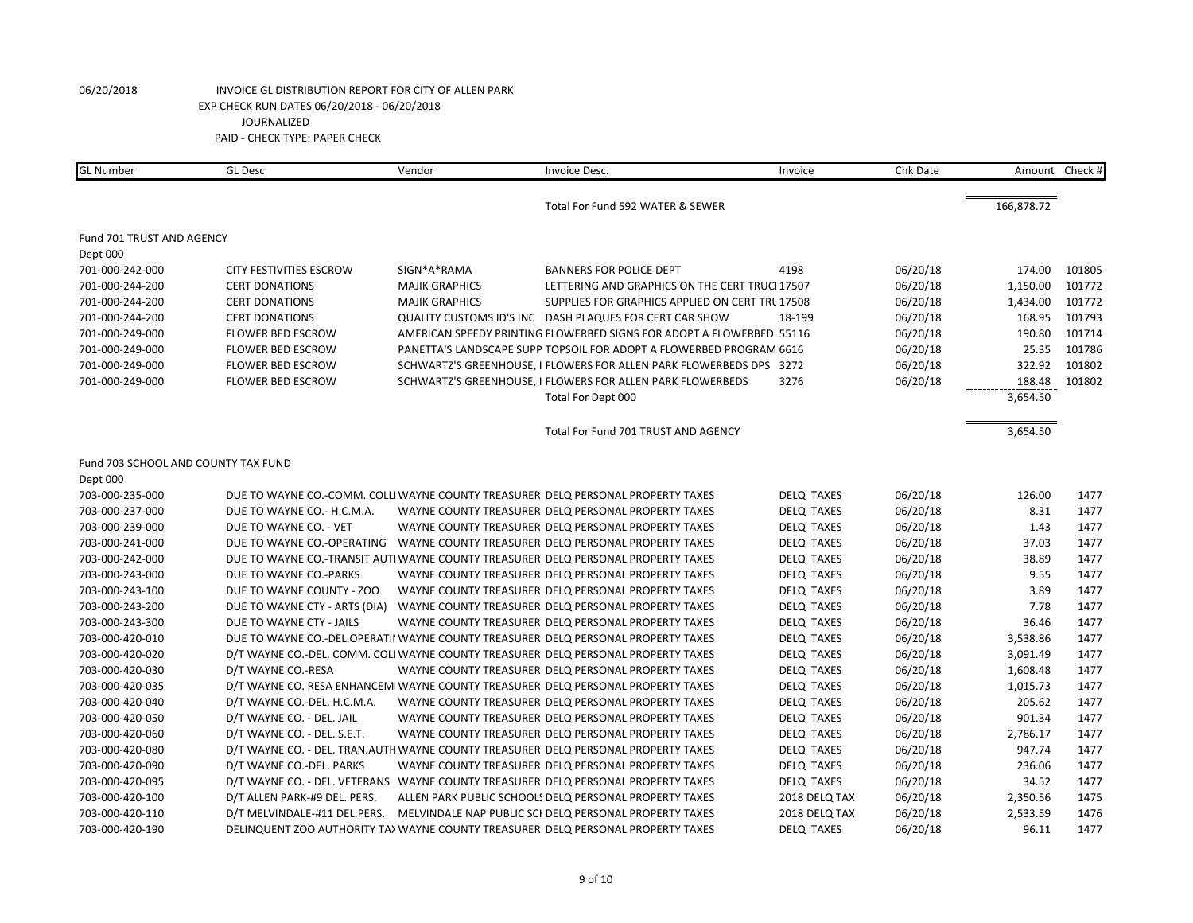| <b>GL Number</b>                    | <b>GL Desc</b>                 | Vendor                | Invoice Desc.                                                                       | Invoice           | Chk Date | Amount     | Check # |
|-------------------------------------|--------------------------------|-----------------------|-------------------------------------------------------------------------------------|-------------------|----------|------------|---------|
|                                     |                                |                       | Total For Fund 592 WATER & SEWER                                                    |                   |          | 166,878.72 |         |
|                                     |                                |                       |                                                                                     |                   |          |            |         |
| Fund 701 TRUST AND AGENCY           |                                |                       |                                                                                     |                   |          |            |         |
| Dept 000                            |                                |                       |                                                                                     |                   |          |            |         |
| 701-000-242-000                     | <b>CITY FESTIVITIES ESCROW</b> | SIGN*A*RAMA           | <b>BANNERS FOR POLICE DEPT</b>                                                      | 4198              | 06/20/18 | 174.00     | 101805  |
| 701-000-244-200                     | <b>CERT DONATIONS</b>          | <b>MAJIK GRAPHICS</b> | LETTERING AND GRAPHICS ON THE CERT TRUCI 17507                                      |                   | 06/20/18 | 1,150.00   | 101772  |
| 701-000-244-200                     | <b>CERT DONATIONS</b>          | <b>MAJIK GRAPHICS</b> | SUPPLIES FOR GRAPHICS APPLIED ON CERT TRL 17508                                     |                   | 06/20/18 | 1,434.00   | 101772  |
| 701-000-244-200                     | <b>CERT DONATIONS</b>          |                       | QUALITY CUSTOMS ID'S INC DASH PLAQUES FOR CERT CAR SHOW                             | 18-199            | 06/20/18 | 168.95     | 101793  |
| 701-000-249-000                     | <b>FLOWER BED ESCROW</b>       |                       | AMERICAN SPEEDY PRINTING FLOWERBED SIGNS FOR ADOPT A FLOWERBED 55116                |                   | 06/20/18 | 190.80     | 101714  |
| 701-000-249-000                     | <b>FLOWER BED ESCROW</b>       |                       | PANETTA'S LANDSCAPE SUPP TOPSOIL FOR ADOPT A FLOWERBED PROGRAM 6616                 |                   | 06/20/18 | 25.35      | 101786  |
| 701-000-249-000                     | <b>FLOWER BED ESCROW</b>       |                       | SCHWARTZ'S GREENHOUSE, I FLOWERS FOR ALLEN PARK FLOWERBEDS DPS 3272                 |                   | 06/20/18 | 322.92     | 101802  |
| 701-000-249-000                     | <b>FLOWER BED ESCROW</b>       |                       | SCHWARTZ'S GREENHOUSE, I FLOWERS FOR ALLEN PARK FLOWERBEDS                          | 3276              | 06/20/18 | 188.48     | 101802  |
|                                     |                                |                       | Total For Dept 000                                                                  |                   |          | 3,654.50   |         |
|                                     |                                |                       | Total For Fund 701 TRUST AND AGENCY                                                 |                   |          | 3,654.50   |         |
| Fund 703 SCHOOL AND COUNTY TAX FUND |                                |                       |                                                                                     |                   |          |            |         |
| Dept 000                            |                                |                       |                                                                                     |                   |          |            |         |
| 703-000-235-000                     |                                |                       | DUE TO WAYNE CO.-COMM. COLLI WAYNE COUNTY TREASURER DELQ PERSONAL PROPERTY TAXES    | <b>DELQ TAXES</b> | 06/20/18 | 126.00     | 1477    |
| 703-000-237-000                     | DUE TO WAYNE CO.- H.C.M.A.     |                       | WAYNE COUNTY TREASURER DELQ PERSONAL PROPERTY TAXES                                 | <b>DELQ TAXES</b> | 06/20/18 | 8.31       | 1477    |
| 703-000-239-000                     | DUE TO WAYNE CO. - VET         |                       | WAYNE COUNTY TREASURER DELQ PERSONAL PROPERTY TAXES                                 | <b>DELQ TAXES</b> | 06/20/18 | 1.43       | 1477    |
| 703-000-241-000                     |                                |                       | DUE TO WAYNE CO.-OPERATING WAYNE COUNTY TREASURER DELQ PERSONAL PROPERTY TAXES      | <b>DELQ TAXES</b> | 06/20/18 | 37.03      | 1477    |
| 703-000-242-000                     |                                |                       | DUE TO WAYNE CO.-TRANSIT AUTI WAYNE COUNTY TREASURER DELQ PERSONAL PROPERTY TAXES   | <b>DELQ TAXES</b> | 06/20/18 | 38.89      | 1477    |
| 703-000-243-000                     | DUE TO WAYNE CO.-PARKS         |                       | WAYNE COUNTY TREASURER DELQ PERSONAL PROPERTY TAXES                                 | <b>DELQ TAXES</b> | 06/20/18 | 9.55       | 1477    |
| 703-000-243-100                     | DUE TO WAYNE COUNTY - ZOO      |                       | WAYNE COUNTY TREASURER DELO PERSONAL PROPERTY TAXES                                 | <b>DELQ TAXES</b> | 06/20/18 | 3.89       | 1477    |
| 703-000-243-200                     | DUE TO WAYNE CTY - ARTS (DIA)  |                       | WAYNE COUNTY TREASURER DELQ PERSONAL PROPERTY TAXES                                 | <b>DELQ TAXES</b> | 06/20/18 | 7.78       | 1477    |
| 703-000-243-300                     | DUE TO WAYNE CTY - JAILS       |                       | WAYNE COUNTY TREASURER DELQ PERSONAL PROPERTY TAXES                                 | <b>DELQ TAXES</b> | 06/20/18 | 36.46      | 1477    |
| 703-000-420-010                     |                                |                       | DUE TO WAYNE CO.-DEL.OPERATII WAYNE COUNTY TREASURER DELQ PERSONAL PROPERTY TAXES   | <b>DELQ TAXES</b> | 06/20/18 | 3,538.86   | 1477    |
| 703-000-420-020                     |                                |                       | D/T WAYNE CO.-DEL. COMM. COLI WAYNE COUNTY TREASURER DELQ PERSONAL PROPERTY TAXES   | <b>DELQ TAXES</b> | 06/20/18 | 3,091.49   | 1477    |
| 703-000-420-030                     | D/T WAYNE CO.-RESA             |                       | WAYNE COUNTY TREASURER DELQ PERSONAL PROPERTY TAXES                                 | <b>DELQ TAXES</b> | 06/20/18 | 1,608.48   | 1477    |
| 703-000-420-035                     |                                |                       | D/T WAYNE CO. RESA ENHANCEMI WAYNE COUNTY TREASURER DELQ PERSONAL PROPERTY TAXES    | <b>DELQ TAXES</b> | 06/20/18 | 1,015.73   | 1477    |
| 703-000-420-040                     | D/T WAYNE CO.-DEL. H.C.M.A.    |                       | WAYNE COUNTY TREASURER DELQ PERSONAL PROPERTY TAXES                                 | <b>DELQ TAXES</b> | 06/20/18 | 205.62     | 1477    |
| 703-000-420-050                     | D/T WAYNE CO. - DEL. JAIL      |                       | WAYNE COUNTY TREASURER DELQ PERSONAL PROPERTY TAXES                                 | <b>DELQ TAXES</b> | 06/20/18 | 901.34     | 1477    |
| 703-000-420-060                     | D/T WAYNE CO. - DEL. S.E.T.    |                       | WAYNE COUNTY TREASURER DELQ PERSONAL PROPERTY TAXES                                 | <b>DELQ TAXES</b> | 06/20/18 | 2,786.17   | 1477    |
| 703-000-420-080                     |                                |                       | D/T WAYNE CO. - DEL. TRAN.AUTH WAYNE COUNTY TREASURER DELQ PERSONAL PROPERTY TAXES  | <b>DELQ TAXES</b> | 06/20/18 | 947.74     | 1477    |
| 703-000-420-090                     | D/T WAYNE CO.-DEL. PARKS       |                       | WAYNE COUNTY TREASURER DELQ PERSONAL PROPERTY TAXES                                 | <b>DELQ TAXES</b> | 06/20/18 | 236.06     | 1477    |
| 703-000-420-095                     |                                |                       | D/T WAYNE CO. - DEL. VETERANS WAYNE COUNTY TREASURER DELQ PERSONAL PROPERTY TAXES   | <b>DELQ TAXES</b> | 06/20/18 | 34.52      | 1477    |
| 703-000-420-100                     | D/T ALLEN PARK-#9 DEL. PERS.   |                       | ALLEN PARK PUBLIC SCHOOLS DELQ PERSONAL PROPERTY TAXES                              | 2018 DELQ TAX     | 06/20/18 | 2,350.56   | 1475    |
| 703-000-420-110                     |                                |                       | D/T MELVINDALE-#11 DEL.PERS. MELVINDALE NAP PUBLIC SCI DELQ PERSONAL PROPERTY TAXES | 2018 DELQ TAX     | 06/20/18 | 2,533.59   | 1476    |
| 703-000-420-190                     |                                |                       | DELINQUENT ZOO AUTHORITY TA> WAYNE COUNTY TREASURER DELQ PERSONAL PROPERTY TAXES    | <b>DELQ TAXES</b> | 06/20/18 | 96.11      | 1477    |